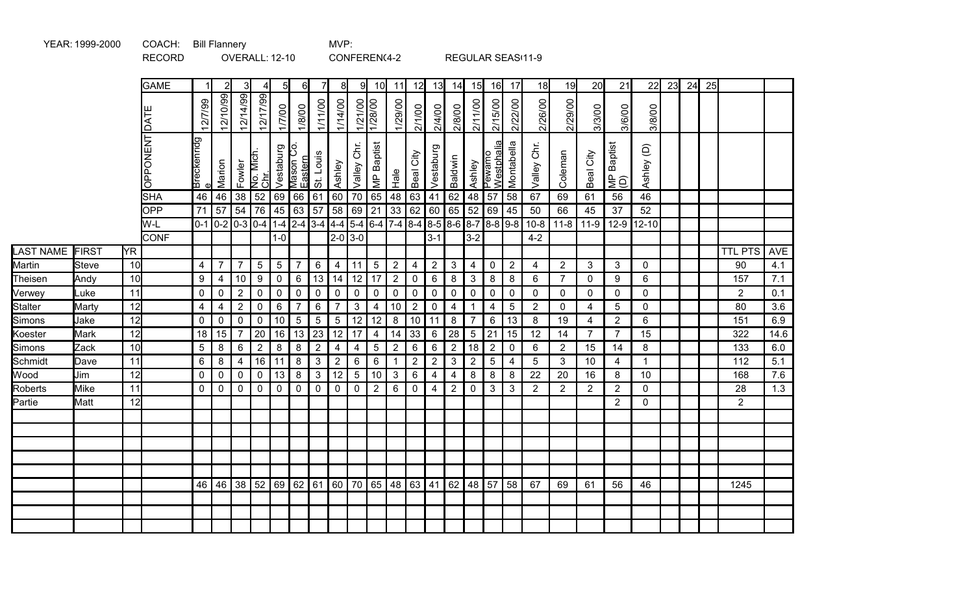|                  |              |           | <b>RECORD</b>   |                  |                                                                       | OVERALL: 12-10 |                             |                 |                      |                 | CONFEREN(4-2   |                |                   |                |                                   |                |                |                |                      |                | REGULAR SEAS(11-9 |                |                |                                                                                          |                              |    |    |    |                |            |
|------------------|--------------|-----------|-----------------|------------------|-----------------------------------------------------------------------|----------------|-----------------------------|-----------------|----------------------|-----------------|----------------|----------------|-------------------|----------------|-----------------------------------|----------------|----------------|----------------|----------------------|----------------|-------------------|----------------|----------------|------------------------------------------------------------------------------------------|------------------------------|----|----|----|----------------|------------|
|                  |              |           | <b>GAME</b>     |                  | $\overline{2}$                                                        | $\overline{3}$ | $\overline{4}$              | 51              | $6 \mid$             | 71              | 81             | 91             | 10 <sup>1</sup>   | 11             | 12                                | 13             | 14             | 15             | 16                   | 17             | 18                | 19             | 20             | 21                                                                                       | 22                           | 23 | 24 | 25 |                |            |
|                  |              |           | <b>ITACI</b>    | 12/7/99          | 12/10/99                                                              | 12/14/99       | 12/17/99                    | 1/7/00          | 1/8/00               | 1/11/00         | 1/14/00        | 1/21/00        | 1/28/00           | 1/29/00        | 2/1/00                            | 2/4/00         | 2/8/00         | 2/11/00        | 2/15/00              | 2/22/00        | 2/26/00           | 2/29/00        | 3/3/00         | 3/6/00                                                                                   | 3/8/00                       |    |    |    |                |            |
|                  |              |           | <b>OPPONENT</b> | Breckenridg      | Marion                                                                |                | Fowler<br>No. Mich.<br>Chr. | Vestaburg       | Mason Co.<br>Eastern | St. Louis       | Ashley         | Valley Chr.    | <b>MP</b> Baptist | $rac{e}{12}$   | City<br>Beal                      | Vestaburg      | Baldwin        | Ashley         | Pewamo<br>Westphalia | Montabella     | Valley Chr.       | Coleman        | Beal City      | <b>Baptist</b><br>$\underline{\underline{\mathsf{E}}\,\widehat{\underline{\mathsf{O}}}}$ | $\widehat{\Theta}$<br>Ashley |    |    |    |                |            |
|                  |              |           | <b>SHA</b>      | 46               | 46                                                                    | 38             | 52 69                       |                 | 66                   | 61              | 60             | 70             | 65                | 48             | 63                                | 41             | 62             | 48             | 57                   | 58             | 67                | 69             | 61             | 56                                                                                       | 46                           |    |    |    |                |            |
|                  |              |           | OPP             | 71               | 57                                                                    | 54             |                             | 76 45           | 63                   | 57              |                | 58 69          | 21                |                | 33 62                             | 60             | 65             | 52             | 69                   | 45             | 50                | 66             | 45             | 37                                                                                       | 52                           |    |    |    |                |            |
|                  |              |           | W-L             |                  | $0-1$ 0-2 0-3 0-4 1-4 2-4 3-4 4-4 5-4 6-4 7-4 8-4 8-5 8-6 8-7 8-8 9-8 |                |                             |                 |                      |                 |                |                |                   |                |                                   |                |                |                |                      |                | $10 - 8$          | $11 - 8$       |                | $11-9$   12-9                                                                            | $12 - 10$                    |    |    |    |                |            |
|                  |              |           | <b>CONF</b>     |                  |                                                                       |                |                             | $1-0$           |                      |                 |                | $ 2 - 0 3 - 0$ |                   |                |                                   | $3 - 1$        |                | $3-2$          |                      |                | $4 - 2$           |                |                |                                                                                          |                              |    |    |    |                |            |
| <b>LAST NAME</b> | FIRST        | <b>YR</b> |                 |                  |                                                                       |                |                             |                 |                      |                 |                |                |                   |                |                                   |                |                |                |                      |                |                   |                |                |                                                                                          |                              |    |    |    | <b>TTL PTS</b> | <b>AVE</b> |
| Martin           | <b>Steve</b> | 10        |                 | 4                | $\overline{7}$                                                        | $\overline{7}$ | 5                           | $5\phantom{.0}$ | $\overline{7}$       | 6               | $\overline{4}$ | 11             | 5 <sup>5</sup>    | $\overline{2}$ | 4                                 | $\overline{2}$ | $\mathbf{3}$   | $\overline{4}$ | $\mathbf 0$          | $\overline{2}$ | 4                 | $\overline{2}$ | 3              | 3                                                                                        | 0                            |    |    |    | 90             | 4.1        |
| Theisen          | Andy         | 10        |                 | $\boldsymbol{9}$ | 4                                                                     | $10$           | 9                           | 0               | $6\phantom{1}6$      | 13              | 14             | 12             | 17                | $\overline{2}$ | 0                                 | $\,6$          | 8              | $\mathbf{3}$   | 8                    | 8              | 6                 | $\overline{7}$ | $\Omega$       | 9                                                                                        | 6                            |    |    |    | 157            | 7.1        |
| Verwey           | Luke         | 11        |                 | $\pmb{0}$        | $\mathbf 0$                                                           | $\overline{2}$ | $\mathbf 0$                 | $\mathbf 0$     | $\pmb{0}$            | $\mathbf 0$     | $\pmb{0}$      | $\mathbf 0$    | $\mathbf 0$       | $\mathbf 0$    | $\mathbf 0$                       | $\pmb{0}$      | $\mathbf 0$    | $\mathbf 0$    | $\mathbf 0$          | $\mathbf 0$    | $\mathbf 0$       | $\mathbf 0$    | $\mathbf 0$    | $\mathbf 0$                                                                              | 0                            |    |    |    | $\overline{2}$ | 0.1        |
| <b>Stalter</b>   | Marty        | 12        |                 | $\overline{4}$   | $\overline{\mathbf{4}}$                                               | $\overline{2}$ | $\mathbf 0$                 | 6               | $\overline{7}$       | 6               | $\overline{7}$ | $\mathbf{3}$   | $\overline{4}$    | 10             | $\overline{2}$                    | $\mathbf 0$    | $\overline{4}$ | $\mathbf{1}$   | $\overline{4}$       | 5              | $\overline{2}$    | $\mathbf 0$    | 4              | 5                                                                                        | $\mathbf 0$                  |    |    |    | 80             | 3.6        |
| Simons           | Jake         | 12        |                 | $\mathbf 0$      | $\mathbf 0$                                                           | $\mathbf 0$    | $\pmb{0}$                   | 10              | $\overline{5}$       | $5\phantom{.0}$ | $\sqrt{5}$     | 12             | 12                | $\bf 8$        | 10                                | 11             | $\bf 8$        | $\overline{7}$ | $6\phantom{1}$       | 13             | 8                 | 19             | 4              | $\overline{2}$                                                                           | 6                            |    |    |    | 151            | 6.9        |
| Koester          | Mark         | 12        |                 | 18               | 15                                                                    | $\overline{7}$ |                             | 20 16           | 13                   | 23              | 12             | 17             | $\overline{4}$    |                | $14 \overline{\smash{\big)}\ 33}$ | 6              | 28             | $\sqrt{5}$     | 21                   | 15             | 12                | 14             | $\overline{7}$ | $\overline{7}$                                                                           | 15                           |    |    |    | 322            | 14.6       |
| Simons           | Zack         | 10        |                 | 5                | 8                                                                     | 6              | $\overline{2}$              | 8               | 8                    | $\overline{2}$  | $\overline{4}$ | $\overline{4}$ | 5 <sup>5</sup>    | $\overline{2}$ | $\,6\,$                           | $\,6$          | $\sqrt{2}$     | 18             | $\overline{2}$       | $\mathbf 0$    | 6                 | $\overline{2}$ | 15             | 14                                                                                       | 8                            |    |    |    | 133            | 6.0        |
| Schmidt          | Dave         | 11        |                 | 6                | 8                                                                     | $\overline{4}$ |                             | $16$   11       | 8                    | 3               | $\overline{2}$ | 6              | $6\phantom{.}6$   | 1              | $\overline{2}$                    | $\sqrt{2}$     | $\mathbf{3}$   | $\overline{2}$ | $\overline{5}$       | 4              | 5                 | 3              | 10             | $\overline{4}$                                                                           | 1                            |    |    |    | 112            | 5.1        |
| Wood             | Jim          | 12        |                 | $\pmb{0}$        | $\mathbf 0$                                                           | $\mathbf 0$    | $\pmb{0}$                   | 13              | 8                    | $\mathbf{3}$    | 12             | $\sqrt{5}$     | $10$              | $\mathfrak{S}$ | $\,6\,$                           | $\overline{4}$ | 4              | $\bf 8$        | $\bf 8$              | 8              | 22                | 20             | 16             | 8                                                                                        | 10                           |    |    |    | 168            | 7.6        |
| Roberts          | <b>Mike</b>  | 11        |                 | $\mathbf 0$      | $\mathbf 0$                                                           | $\mathbf 0$    | $\mathbf 0$                 | $\mathbf 0$     | $\mathbf{0}$         | $\mathbf 0$     | $\mathbf 0$    | $\mathbf 0$    | $\overline{2}$    | 6              | $\mathbf 0$                       | 4              | $\overline{2}$ | $\mathbf 0$    | $\mathbf{3}$         | $\mathbf{3}$   | $\sqrt{2}$        | $\overline{2}$ | $\overline{2}$ | $\overline{2}$                                                                           | $\mathbf 0$                  |    |    |    | 28             | 1.3        |
| Partie           | Matt         | 12        |                 |                  |                                                                       |                |                             |                 |                      |                 |                |                |                   |                |                                   |                |                |                |                      |                |                   |                |                | 2                                                                                        | $\mathbf 0$                  |    |    |    | $\overline{2}$ |            |
|                  |              |           |                 |                  |                                                                       |                |                             |                 |                      |                 |                |                |                   |                |                                   |                |                |                |                      |                |                   |                |                |                                                                                          |                              |    |    |    |                |            |
|                  |              |           |                 |                  |                                                                       |                |                             |                 |                      |                 |                |                |                   |                |                                   |                |                |                |                      |                |                   |                |                |                                                                                          |                              |    |    |    |                |            |
|                  |              |           |                 |                  |                                                                       |                |                             |                 |                      |                 |                |                |                   |                |                                   |                |                |                |                      |                |                   |                |                |                                                                                          |                              |    |    |    |                |            |
|                  |              |           |                 |                  |                                                                       |                |                             |                 |                      |                 |                |                |                   |                |                                   |                |                |                |                      |                |                   |                |                |                                                                                          |                              |    |    |    |                |            |
|                  |              |           |                 |                  |                                                                       |                |                             |                 |                      |                 |                |                |                   |                |                                   |                |                |                |                      |                |                   |                |                |                                                                                          |                              |    |    |    |                |            |
|                  |              |           |                 | 46               | 46                                                                    | 38             | 52 69                       |                 | 62                   | 61              | 60             | 70             |                   | 65 48 63       |                                   | $\vert$ 41     | 62             |                | 48 57                | 58             | 67                | 69             | 61             | 56                                                                                       | 46                           |    |    |    | 1245           |            |
|                  |              |           |                 |                  |                                                                       |                |                             |                 |                      |                 |                |                |                   |                |                                   |                |                |                |                      |                |                   |                |                |                                                                                          |                              |    |    |    |                |            |
|                  |              |           |                 |                  |                                                                       |                |                             |                 |                      |                 |                |                |                   |                |                                   |                |                |                |                      |                |                   |                |                |                                                                                          |                              |    |    |    |                |            |
|                  |              |           |                 |                  |                                                                       |                |                             |                 |                      |                 |                |                |                   |                |                                   |                |                |                |                      |                |                   |                |                |                                                                                          |                              |    |    |    |                |            |

YEAR: 1999-2000 COACH: Bill Flannery MVP: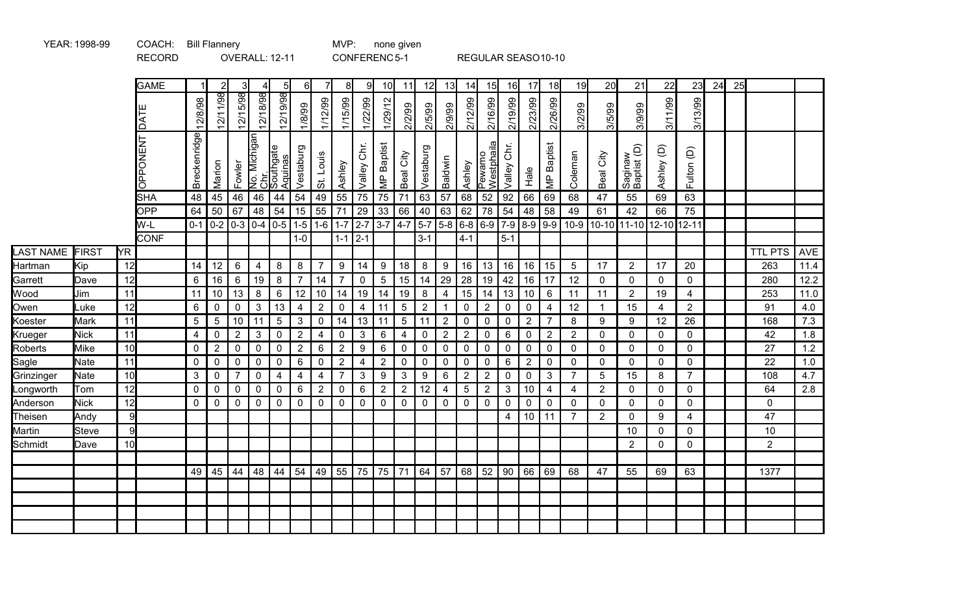|                  |                     |                 | <b>RECORD</b>   |                  |                               |                             |                | OVERALL: 12-11                             |                                  |                |                             |                                  | CONFERENC5-1     |                               |                          |                             |                                 |                             |                               |                            | REGULAR SEASO10-10            |                               |                            |                                 |                             |                   |    |    |                |              |
|------------------|---------------------|-----------------|-----------------|------------------|-------------------------------|-----------------------------|----------------|--------------------------------------------|----------------------------------|----------------|-----------------------------|----------------------------------|------------------|-------------------------------|--------------------------|-----------------------------|---------------------------------|-----------------------------|-------------------------------|----------------------------|-------------------------------|-------------------------------|----------------------------|---------------------------------|-----------------------------|-------------------|----|----|----------------|--------------|
|                  |                     |                 | <b>GAME</b>     | $\vert$ 1        | $\overline{2}$                | 31                          |                | 5 <sub>l</sub>                             | 6                                | $\overline{7}$ | 8                           | 9                                | 10 <sup>1</sup>  | 11                            | 12                       | 13                          | 14                              | 15                          | 16                            | 17                         | 18                            | 19                            | 20                         | 21                              | 22                          | 23                | 24 | 25 |                |              |
|                  |                     |                 | ш<br><b>TAD</b> | 12/8/98          | 12/11/98                      | 12/15/98                    | 12/18/98       | 12/19/98                                   | 66/8/1                           | 1/12/99        | 1/15/99                     | 1/22/99                          | 1/29/12          | 2/2/99                        | 2/5/99                   | 2/9/99                      | 2/12/99                         | 2/16/99                     | 2/19/99                       | 2/23/99                    | 2/26/99                       | 8/2/99                        | 3/5/99                     | 3/9/99                          | 3/11/99                     | 3/13/99           |    |    |                |              |
|                  |                     |                 | OPPONENT        | Breckenridge     | Marion                        | Fowler                      |                | No. Michigan<br>Chr.<br>Aquinas<br>Aquinas | Vestaburg                        | St. Louis      | Ashley                      | Valley Chr.                      | MP Baptist       | Beal City                     | Vestaburg                | Baldwin                     | Ashley                          | Pewamo<br><u>Westphaila</u> | Chr.<br>Valley                | Hale                       | <b>MP</b> Baptist             | Coleman                       | Beal City                  | Saginaw<br>Baptist (D)          | Ashley (D)                  | Fulton (D)        |    |    |                |              |
|                  |                     |                 | <b>SHA</b>      | 48               | 45                            | 46                          | 46             | 44                                         | 54                               | 49             | 55                          | $\overline{75}$                  | $\overline{75}$  | 71                            | 63                       | 57                          | 68                              | 52                          | 92                            | 66                         | 69                            | 68                            | 47                         | 55                              | 69                          | 63                |    |    |                |              |
|                  |                     |                 | OPP             | 64               | 50                            | 67                          | 48             | 54                                         | 15                               | 55             | 71                          | $\overline{29}$                  | 33               | 66                            | 40                       | 63                          | 62                              | 78                          | 54                            | 48                         | 58                            | 49                            | 61                         | 42                              | 66                          | 75                |    |    |                |              |
|                  |                     |                 | W-L             |                  | $0-1$   0-2   0-3   0-4   0-5 |                             |                |                                            | $1-5$                            | $1-6$          |                             |                                  | $1-7$ 2-7 3-7    | $4-7$                         | 5-7 5-8 6-8 6-9 7-9 8-9  |                             |                                 |                             |                               |                            | $\left  9-9 \right\rangle$    | $10-9$                        | 10-10 11-10                |                                 | $12 - 10$                   | 12-11             |    |    |                |              |
|                  |                     |                 | <b>CONF</b>     |                  |                               |                             |                |                                            | $1-0$                            |                | $1 - 1$   2-1               |                                  |                  |                               | $3 - 1$                  |                             | $4 - 1$                         |                             | $5 - 1$                       |                            |                               |                               |                            |                                 |                             |                   |    |    |                |              |
| LAST NAME        | <b>FIRST</b>        | <b>YR</b>       |                 |                  |                               |                             |                |                                            |                                  |                |                             |                                  |                  |                               |                          |                             |                                 |                             |                               |                            |                               |                               |                            |                                 |                             |                   |    |    | <b>TTL PTS</b> | AVE          |
| Hartman          | Kip                 | 12              |                 | 14               | 12                            | 6                           | 4              | 8                                          | 8                                | $\overline{7}$ | 9                           | 14                               | 9                | 18                            | 8                        | 9                           | 16                              | 13 <sup>1</sup>             | 16                            | 16                         | 15                            | 5                             | 17                         | $\overline{2}$                  | 17                          | 20                |    |    | 263            | 11.4         |
| Garrett          | Dave                | 12              |                 | 6                | 16                            | 6                           | 19             | 8                                          | $\overline{7}$                   | 14             | $\overline{7}$              | $\mathbf 0$                      | $\sqrt{5}$       | 15                            | 14                       | 29                          | 28                              | 19                          | 42                            | 16                         | 17                            | 12                            | $\mathbf 0$                | $\mathbf 0$                     | $\mathbf{0}$                | 0                 |    |    | 280            | 12.2         |
| Wood             | Jim                 | 11              |                 | 11               | 10                            | 13                          | $\bf 8$        | $\,6\,$                                    | 12                               | 10             | 14                          | 19                               | 14               | 19                            | 8                        | $\overline{\mathbf{4}}$     | 15                              | 14                          | 13                            | 10                         | 6                             | 11                            | 11                         | $\overline{2}$                  | 19                          | 4                 |    |    | 253            | 11.0         |
| Owen             | Luke                | 12              |                 | 6                | $\mathbf 0$                   | $\mathbf 0$                 | $\mathbf{3}$   | 13                                         | $\overline{4}$                   | $\sqrt{2}$     | $\pmb{0}$                   | $\overline{\mathbf{4}}$          | 11               | $\overline{5}$                | $\overline{2}$           | $\mathbf{1}$                | 0                               | $\mathbf{2}$                | 0                             | $\pmb{0}$                  | 4                             | 12                            | $\mathbf{1}$               | 15                              | 4                           | $\overline{2}$    |    |    | 91             | 4.0          |
| Koester          | <b>Mark</b>         | 11<br>11        |                 | 5                | $5\phantom{.0}$               | 10                          | $\vert$ 11     | $\sqrt{5}$                                 | $\mathbf{3}$                     | $\mathbf 0$    | 14                          | 13                               | 11<br>$\,6\,$    | $\sqrt{5}$                    | 11                       | $\overline{2}$              | $\pmb{0}$                       | $\mathbf 0$                 | $\mathbf 0$                   | $\overline{2}$             | 7                             | 8                             | $\boldsymbol{9}$           | $\boldsymbol{9}$<br>$\mathbf 0$ | 12                          | 26<br>$\mathbf 0$ |    |    | 168<br>42      | 7.3          |
| Krueger          | <b>Nick</b><br>Mike | 10              |                 | 4<br>$\mathbf 0$ | $\pmb{0}$<br>$\overline{2}$   | $\overline{2}$<br>$\pmb{0}$ | 3<br>$\pmb{0}$ | $\pmb{0}$<br>$\pmb{0}$                     | $\overline{2}$<br>$\overline{2}$ | 4<br>$\,6\,$   | $\pmb{0}$<br>$\overline{2}$ | $\mathbf{3}$<br>$\boldsymbol{9}$ | 6                | $\overline{4}$<br>$\mathbf 0$ | $\pmb{0}$<br>$\mathbf 0$ | $\mathbf{2}$<br>$\mathbf 0$ | $\boldsymbol{2}$<br>$\mathbf 0$ | $\pmb{0}$<br>$\mathbf 0$    | $6\phantom{1}$<br>$\mathbf 0$ | $\mathbf 0$<br>$\mathbf 0$ | $\overline{2}$<br>$\mathbf 0$ | $\overline{2}$<br>$\mathbf 0$ | $\mathbf 0$<br>$\mathbf 0$ | $\mathbf 0$                     | $\mathbf 0$<br>$\mathbf{0}$ | $\mathbf 0$       |    |    | 27             | 1.8<br>$1.2$ |
| Roberts<br>Sagle | <b>Nate</b>         | 11              |                 | $\mathbf 0$      | $\mathbf 0$                   | $\mathbf 0$                 | $\mathbf 0$    | $\mathbf 0$                                | $\boldsymbol{6}$                 | $\mathbf 0$    | $\sqrt{2}$                  | $\overline{4}$                   | $\overline{2}$   | $\mathbf 0$                   | $\mathbf 0$              | 0                           | 0                               | 0                           | 6                             | $\mathbf{2}$               | $\mathbf 0$                   | 0                             | $\mathbf 0$                | $\mathbf 0$                     | $\mathbf 0$                 | $\mathbf 0$       |    |    | 22             | $1.0$        |
| Grinzinger       | <b>Nate</b>         | 10              |                 | 3                | $\mathbf 0$                   | $\overline{7}$              | 0              | 4                                          | $\overline{4}$                   | $\overline{4}$ | $\overline{7}$              | $\mathbf{3}$                     | $\boldsymbol{9}$ | $\mathbf{3}$                  | 9                        | 6                           | $\mathbf{2}$                    | $\overline{2}$              | $\mathbf{0}$                  | $\mathbf 0$                | 3                             | $\overline{7}$                | 5                          | 15                              | 8                           | $\overline{7}$    |    |    | 108            | 4.7          |
| Longworth        | Tom                 | 12              |                 | $\mathbf 0$      | $\mathbf 0$                   | $\mathbf 0$                 | $\mathbf 0$    | $\mathbf 0$                                | 6                                | $\overline{2}$ | $\pmb{0}$                   | $6\phantom{1}6$                  | 2                | $\overline{2}$                | 12                       | $\overline{4}$              | 5                               | $\overline{2}$              | 3                             | 10                         | 4                             | 4                             | $\overline{2}$             | $\mathbf 0$                     | $\mathbf{0}$                | $\mathbf 0$       |    |    | 64             | 2.8          |
| Anderson         | <b>Nick</b>         | 12              |                 | $\mathbf 0$      | $\mathbf 0$                   | $\mathbf 0$                 | $\mathbf 0$    | $\mathbf 0$                                | $\mathbf 0$                      | $\mathbf 0$    | $\pmb{0}$                   | $\mathbf 0$                      | $\mathbf 0$      | $\pmb{0}$                     | $\mathbf 0$              | 0                           | $\mathbf 0$                     | $\mathbf 0$                 | $\mathbf 0$                   | $\mathbf 0$                | $\mathbf{0}$                  | $\mathbf 0$                   | $\mathbf{0}$               | $\mathbf 0$                     | $\mathbf 0$                 | 0                 |    |    | $\mathbf 0$    |              |
| Theisen          | Andy                | 9               |                 |                  |                               |                             |                |                                            |                                  |                |                             |                                  |                  |                               |                          |                             |                                 |                             | $\overline{4}$                | 10                         | 11                            | $\overline{7}$                | $\overline{2}$             | $\mathbf 0$                     | 9                           | 4                 |    |    | 47             |              |
| Martin           | <b>Steve</b>        | 9               |                 |                  |                               |                             |                |                                            |                                  |                |                             |                                  |                  |                               |                          |                             |                                 |                             |                               |                            |                               |                               |                            | 10                              | $\mathbf 0$                 | 0                 |    |    | 10             |              |
| Schmidt          | Dave                | 10 <sup>1</sup> |                 |                  |                               |                             |                |                                            |                                  |                |                             |                                  |                  |                               |                          |                             |                                 |                             |                               |                            |                               |                               |                            | $\overline{2}$                  | $\overline{0}$              | $\mathbf 0$       |    |    | $\overline{2}$ |              |
|                  |                     |                 |                 |                  |                               |                             |                |                                            |                                  |                |                             |                                  |                  |                               |                          |                             |                                 |                             |                               |                            |                               |                               |                            |                                 |                             |                   |    |    |                |              |
|                  |                     |                 |                 | 49               | 45                            | 44                          | 48             | 44                                         | 54                               | 49             | 55                          | 75                               | 75               | 71                            | 64                       | 57                          | 68                              | 52                          | 90                            | 66                         | 69                            | 68                            | 47                         | 55                              | 69                          | 63                |    |    | 1377           |              |
|                  |                     |                 |                 |                  |                               |                             |                |                                            |                                  |                |                             |                                  |                  |                               |                          |                             |                                 |                             |                               |                            |                               |                               |                            |                                 |                             |                   |    |    |                |              |
|                  |                     |                 |                 |                  |                               |                             |                |                                            |                                  |                |                             |                                  |                  |                               |                          |                             |                                 |                             |                               |                            |                               |                               |                            |                                 |                             |                   |    |    |                |              |
|                  |                     |                 |                 |                  |                               |                             |                |                                            |                                  |                |                             |                                  |                  |                               |                          |                             |                                 |                             |                               |                            |                               |                               |                            |                                 |                             |                   |    |    |                |              |
|                  |                     |                 |                 |                  |                               |                             |                |                                            |                                  |                |                             |                                  |                  |                               |                          |                             |                                 |                             |                               |                            |                               |                               |                            |                                 |                             |                   |    |    |                |              |

YEAR: 1998-99 COACH: Bill Flannery MVP: none given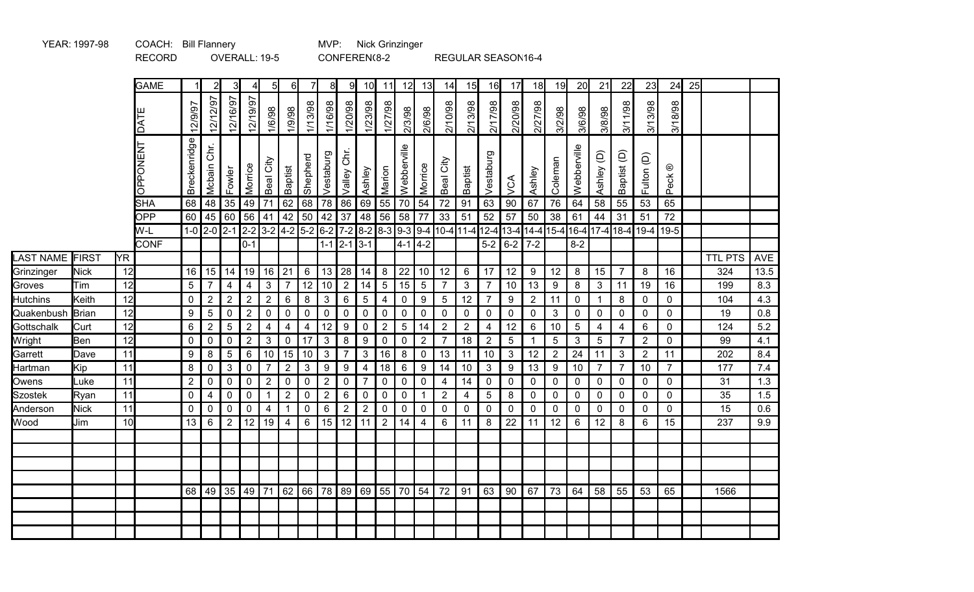|                  |            |    | <b>RECORD</b>      |                  |                         |                | OVERALL: 19-5                                        |                 |                         |                      |                |                     | CONFEREN(8-2                          |                |                  |                  |                         |                |                   | REGULAR SEASON16-4          |                |                |                   |                         |                |                |                       |    |                |            |
|------------------|------------|----|--------------------|------------------|-------------------------|----------------|------------------------------------------------------|-----------------|-------------------------|----------------------|----------------|---------------------|---------------------------------------|----------------|------------------|------------------|-------------------------|----------------|-------------------|-----------------------------|----------------|----------------|-------------------|-------------------------|----------------|----------------|-----------------------|----|----------------|------------|
|                  |            |    | <b>GAME</b>        |                  | $\overline{2}$          |                | $\overline{4}$                                       | 5               | $6 \mid$                | $\overline{7}$       | 8 <sup>1</sup> | 9                   | 10 <sub>l</sub>                       | 11             | 12 <sup>1</sup>  | 13               | 14                      | 15             | 16                | 17                          | 18             | 19             | 20                | 21                      | 22             | 23             | 24                    | 25 |                |            |
|                  |            |    | ш<br><b>TAD</b>    | 12/9/97          | 12/12/97                | 12/16/97       | 12/19/97                                             | 1/6/98          | 1/9/98                  | 1/13/98              | 1/16/98        | 1/20/98             | 1/23/98                               | 1/27/98        | 2/3/98           | 2/6/98           | 2/10/98                 | 2/13/98        | 2/17/98           | 2/20/98                     | 2/27/98        | 3/2/98         | 3/6/98            | 3/8/98                  | 3/11/98        | 3/13/98        | 3/18/98               |    |                |            |
|                  |            |    | OPPONENT           | Breckenridge     | Mcbain Chr.             | Fowler         | Morrice                                              | Beal City       | Baptist                 | Shepherd             | Vestaburg      | Chr.<br>Valley      | Ashley                                | Marion         | Webberville      | Morrice          | Beal City               | Baptist        | Vestaburg         | VCA                         | Ashley         | Coleman        | Webberville       | Ashley (D)              | Baptist (D)    | Fulton (D)     | $^\copyright$<br>Peck |    |                |            |
|                  |            |    | <b>SHA</b>         | 68               | 48                      | 35             | 49                                                   | 71              | 62                      | 68 78                |                | 86                  | 69                                    | 55             | 70               | 54               | $72\,$                  | 91             | 63                | 90                          | 67             | 76             | 64                | 58                      | 55             | 53             | 65                    |    |                |            |
|                  |            |    | <b>OPP</b>         | 60               | 45                      | 60             | 56                                                   | 41              |                         | $42 \mid 50 \mid 42$ |                | 37                  | 48                                    | 56             | 58               | 77               | 33                      | 51             | 52                | 57                          | 50             | 38             | 61                | 44                      | 31             | 51             | 72                    |    |                |            |
|                  |            |    | W-L<br><b>CONF</b> |                  | $1-0$ 2-0 2-1           |                | $2-2$ 3-2 4-2 5-2 6-2 7-2 8-2 8-3 9-3 9-4<br>$0 - 1$ |                 |                         |                      |                | $1 - 1$   2-1   3-1 |                                       |                | $4-1$ 4-2        |                  | 10-4 11-4               |                | $12 - 4$<br>$5-2$ | 13-4 14-4 15-4<br>$6-2$ 7-2 |                |                | $16-4$<br>$8 - 2$ |                         | 17-4 18-4 19-4 |                | $19 - 5$              |    |                |            |
| <b>LAST NAME</b> | FIRST      | YR |                    |                  |                         |                |                                                      |                 |                         |                      |                |                     |                                       |                |                  |                  |                         |                |                   |                             |                |                |                   |                         |                |                |                       |    | <b>TTL PTS</b> | <b>AVE</b> |
| Grinzinger       | Nick       | 12 |                    | 16               | 15                      | 14             | 19                                                   |                 | $16$ 21                 | $6\phantom{1}6$      | $\vert$ 13     | 28                  | 14                                    | 8              | 22               | 10               | 12                      | $\,6\,$        | 17                | 12                          | 9              | 12             | 8                 | 15                      | $\overline{7}$ | 8              | 16                    |    | 324            | 13.5       |
| Groves           | <b>Tim</b> | 12 |                    | $\overline{5}$   | $\overline{7}$          | $\overline{4}$ | $\overline{\mathbf{4}}$                              | 3 <sup>1</sup>  | $\overline{7}$          | 12 10                |                | $\overline{2}$      | 14                                    | $\overline{5}$ | $\overline{15}$  | 5                | $\overline{7}$          | $\mathfrak{S}$ | $\overline{7}$    | 10                          | 13             | $9\,$          | $\bf 8$           | $\mathbf{3}$            | 11             | 19             | 16                    |    | 199            | 8.3        |
| <b>Hutchins</b>  | Keith      | 12 |                    | $\pmb{0}$        | $\overline{c}$          | $\overline{c}$ | $\overline{2}$                                       | $\overline{2}$  | $\,6\,$                 | 8                    | $\mathbf{3}$   | $\,6$               | $5\phantom{.0}$                       | $\overline{4}$ | $\mathsf 0$      | 9                | 5                       | 12             | $\overline{7}$    | 9                           | $\overline{2}$ | 11             | $\mathbf 0$       | $\overline{1}$          | 8              | $\mathbf 0$    | $\mathbf 0$           |    | 104            | 4.3        |
| Quakenbush       | Brian      | 12 |                    | $\boldsymbol{9}$ | 5                       | $\pmb{0}$      | $\overline{2}$                                       | $\mathbf 0$     | $\pmb{0}$               | $\mathsf 0$          | $\pmb{0}$      | $\pmb{0}$           | $\pmb{0}$                             | $\pmb{0}$      | $\pmb{0}$        | $\pmb{0}$        | $\pmb{0}$               | $\pmb{0}$      | $\boldsymbol{0}$  | $\mathbf 0$                 | $\mathbf 0$    | $\mathfrak{S}$ | $\pmb{0}$         | $\mathbf 0$             | $\pmb{0}$      | 0              | $\mathbf 0$           |    | 19             | 0.8        |
| Gottschalk       | Curt       | 12 |                    | $\,6\,$          | $\overline{2}$          | $\sqrt{5}$     | $\overline{2}$                                       | 4               | $\overline{\mathbf{4}}$ | 4                    | 12             | 9                   | $\mathbf 0$                           | $\sqrt{2}$     | $\sqrt{5}$       | 14               | $\sqrt{2}$              | $\overline{2}$ | 4                 | 12                          | 6              | 10             | $\sqrt{5}$        | $\overline{\mathbf{4}}$ | 4              | 6              | $\mathbf 0$           |    | 124            | 5.2        |
| Wright           | Ben        | 12 |                    | 0                | $\mathbf 0$             | $\pmb{0}$      | $\overline{2}$                                       | 3 <sup>1</sup>  | $\mathbf 0$             | 17                   | $\mathbf{3}$   | 8                   | 9                                     | $\mathbf 0$    | $\mathbf 0$      | $\overline{2}$   | $\overline{7}$          | 18             | $\overline{2}$    | 5                           | $\mathbf 1$    | 5              | $\mathfrak{Z}$    | $\sqrt{5}$              | $\overline{7}$ | $\overline{2}$ | $\mathbf 0$           |    | 99             | 4.1        |
| Garrett          | Dave       | 11 |                    | 9                | 8                       | $\sqrt{5}$     | 6                                                    | 10 <sup>°</sup> | 15                      | 10 <sup>1</sup>      | $\mathbf{3}$   | $\overline{7}$      | $\mathbf{3}$                          | 16             | 8                | $\mathbf 0$      | 13                      | 11             | 10                | 3                           | 12             | $\overline{2}$ | 24                | 11                      | 3              | $\overline{2}$ | 11                    |    | 202            | 8.4        |
| Hartman          | Kip        | 11 |                    | 8                | $\pmb{0}$               | $\sqrt{3}$     | $\mathbf 0$                                          | $\overline{7}$  | $\overline{2}$          | 3                    | $9\,$          | 9                   | $\overline{4}$                        | 18             | $6\phantom{1}6$  | $\boldsymbol{9}$ | 14                      | 10             | 3                 | 9                           | 13             | 9              | 10                | $\overline{7}$          | $\overline{7}$ | 10             | $\overline{7}$        |    | 177            | 7.4        |
| Owens            | Luke       | 11 |                    | $\overline{2}$   | $\pmb{0}$               | $\pmb{0}$      | $\mathbf 0$                                          | $\mathbf{2}$    | $\mathsf{O}\xspace$     | $\mathbf 0$          | $\sqrt{2}$     | $\mathsf{O}\xspace$ | $\overline{7}$                        | $\pmb{0}$      | $\mathbf 0$      | $\pmb{0}$        | $\overline{\mathbf{4}}$ | 14             | $\mathsf 0$       | $\mathbf 0$                 | $\mathbf 0$    | $\mathbf 0$    | $\mathbf 0$       | $\pmb{0}$               | $\mathbf 0$    | $\mathbf 0$    | 0                     |    | 31             | 1.3        |
| <b>Szostek</b>   | Ryan       | 11 |                    | $\pmb{0}$        | $\overline{\mathbf{4}}$ | $\pmb{0}$      | $\pmb{0}$                                            | $\mathbf{1}$    | $\overline{2}$          | $\mathsf 0$          | $\overline{2}$ | $6\phantom{1}6$     | $\pmb{0}$                             | $\pmb{0}$      | $\pmb{0}$        | $\mathbf{1}$     | $\overline{2}$          | 4              | $\sqrt{5}$        | $\bf 8$                     | $\mathbf 0$    | 0              | $\mathbf 0$       | $\mathbf 0$             | 0              | 0              | 0                     |    | 35             | 1.5        |
| Anderson         | Nick       | 11 |                    | $\mathbf 0$      | $\mathbf 0$             | $\mathbf 0$    | 0                                                    | 4               | $\mathbf 1$             | $\mathbf 0$          | $\,6\,$        | $\sqrt{2}$          | $\sqrt{2}$                            | $\pmb{0}$      | $\boldsymbol{0}$ | $\pmb{0}$        | $\mathbf 0$             | $\pmb{0}$      | $\overline{0}$    | $\mathbf 0$                 | $\mathbf 0$    | 0              | $\mathbf 0$       | $\pmb{0}$               | 0              | $\mathbf 0$    | 0                     |    | 15             | 0.6        |
| Wood             | Jim        | 10 |                    | 13               | 6                       | $\overline{2}$ | 12 <sup>°</sup>                                      | 19              | $\overline{4}$          | $6\phantom{1}6$      | 15             | 12                  | 11                                    | $\overline{2}$ | 14               | $\overline{4}$   | 6                       | 11             | 8                 | 22                          | 11             | 12             | 6                 | 12                      | 8              | 6              | 15                    |    | 237            | 9.9        |
|                  |            |    |                    |                  |                         |                |                                                      |                 |                         |                      |                |                     |                                       |                |                  |                  |                         |                |                   |                             |                |                |                   |                         |                |                |                       |    |                |            |
|                  |            |    |                    |                  |                         |                |                                                      |                 |                         |                      |                |                     |                                       |                |                  |                  |                         |                |                   |                             |                |                |                   |                         |                |                |                       |    |                |            |
|                  |            |    |                    |                  |                         |                |                                                      |                 |                         |                      |                |                     |                                       |                |                  |                  |                         |                |                   |                             |                |                |                   |                         |                |                |                       |    |                |            |
|                  |            |    |                    |                  |                         |                |                                                      |                 |                         |                      |                |                     |                                       |                |                  |                  |                         |                |                   |                             |                |                |                   |                         |                |                |                       |    |                |            |
|                  |            |    |                    |                  | 68 49 35                |                | $49 \mid$                                            | 71              |                         |                      |                |                     | 62   66   78   89   69   55   70   54 |                |                  |                  | 72                      | 91             | 63                | 90                          | 67             | 73             | 64                | 58                      | 55             | 53             | 65                    |    | 1566           |            |
|                  |            |    |                    |                  |                         |                |                                                      |                 |                         |                      |                |                     |                                       |                |                  |                  |                         |                |                   |                             |                |                |                   |                         |                |                |                       |    |                |            |
|                  |            |    |                    |                  |                         |                |                                                      |                 |                         |                      |                |                     |                                       |                |                  |                  |                         |                |                   |                             |                |                |                   |                         |                |                |                       |    |                |            |
|                  |            |    |                    |                  |                         |                |                                                      |                 |                         |                      |                |                     |                                       |                |                  |                  |                         |                |                   |                             |                |                |                   |                         |                |                |                       |    |                |            |

MVP: Nick Grinzinger

YEAR: 1997-98 COACH: Bill Flannery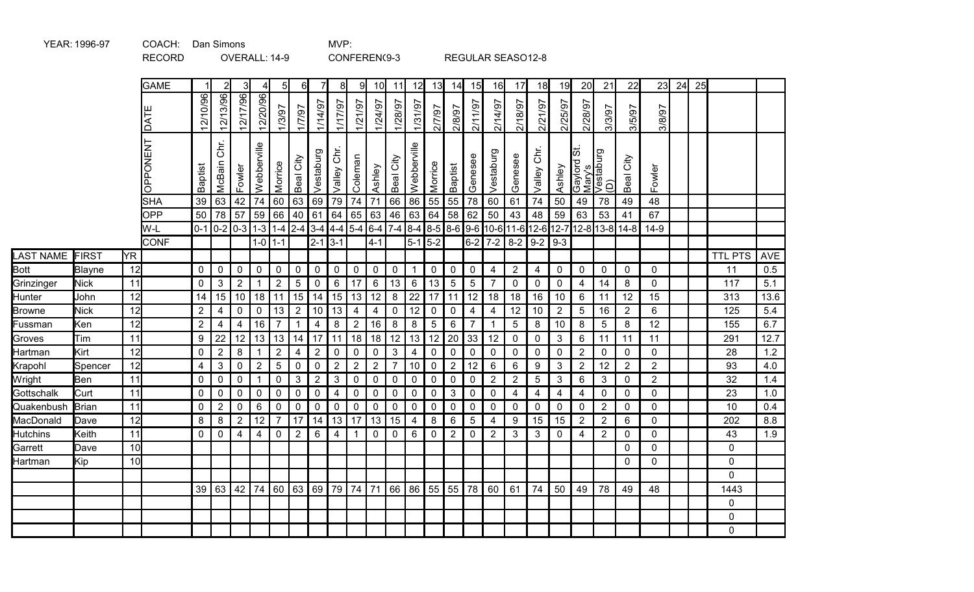|                  |               |                 | <b>RECORD</b>     |                         |                | OVERALL: 14-9                                                                |                |                |                |                |                 |                | CONFEREN(9-3    |                |                 |                    |                 |                         | REGULAR SEASO12-8 |                |                |                |                                                        |                |                                                                    |                |    |    |                |            |
|------------------|---------------|-----------------|-------------------|-------------------------|----------------|------------------------------------------------------------------------------|----------------|----------------|----------------|----------------|-----------------|----------------|-----------------|----------------|-----------------|--------------------|-----------------|-------------------------|-------------------|----------------|----------------|----------------|--------------------------------------------------------|----------------|--------------------------------------------------------------------|----------------|----|----|----------------|------------|
|                  |               |                 | <b>GAME</b>       |                         |                | $\overline{3}$                                                               |                | 5 <sub>l</sub> | 6l             | $\overline{7}$ | 8 <sup>1</sup>  | 91             | 10 <sup>l</sup> | 11             | 12              | 13                 | 14              | 15                      | 16                | 17             | 18             | 19             | 20                                                     | 21             | 22                                                                 | 23             | 24 | 25 |                |            |
|                  |               |                 | <b>DAT</b>        | 12/10/96                | 12/13/96       | 12/17/96                                                                     | 12/20/96       | 1/3/97         | 17/97          | 1/14/97        | 1/17/97         | 1/21/97        | 1/24/97         | 1/28/97        | 1/31/97         | 2/7/97             | 2/8/97          | 2/11/97                 | 2/14/97           | 2/18/97        | 2/21/97        | 2/25/97        | 2/28/97                                                | 26/8/8         | 3/5/97                                                             | 26/8/2         |    |    |                |            |
|                  |               |                 | <b>OPPONENT</b>   | Baptist                 | Chr.<br>McBain | Fowler                                                                       | Webberville    | Morrice        | Beal City      | Vestaburg      | Valley Chr.     | Coleman        | Ashley          | Beal City      | Webberville     | Morrice            | Baptist         | Genesee                 | Vestaburg         | Genesee        | Chr.<br>Valley | Ashley         | 55<br>Gaylord St.<br>Mary's<br>Vestaburg<br><u>(D)</u> |                | City<br>Beal                                                       | Fowler         |    |    |                |            |
|                  |               |                 | <b>SHA</b><br>OPP | 39<br>50                | 63<br>78       | 42<br>57                                                                     | 74<br>59       | 60<br>66       | 63<br>40       | 69<br> 61      | 79<br>64        | 74<br>65       | 71<br>63        | 66<br>46       | 86<br>63        | $55$ 55<br>$64$ 58 |                 | 78<br>62                | 60<br>50          | 61<br>43       | 74<br>48       | 50<br>59       | 49<br>63                                               | 78<br>53       | 49<br>41                                                           | 48<br>67       |    |    |                |            |
|                  |               |                 | W-L               |                         | $0-1$ 0-2      | $\left  0 - 3 \right  1 - 3 \left  1 - 4 \right  2 - 4 \left  3 - 4 \right $ |                |                |                |                |                 |                |                 |                |                 |                    |                 |                         |                   |                |                |                |                                                        |                | 4-4 5-4 6-4 7-4 8-4 8-5 8-6 9-6 10-6 11-6 12-6 12-7 12-8 13-8 14-8 | $14-9$         |    |    |                |            |
|                  |               |                 | <b>CONF</b>       |                         |                |                                                                              |                | $1 - 0$ 1-1    |                | $2 - 1$        | $3-1$           |                | $4 - 1$         |                |                 | $5-1$ 5-2          |                 |                         | $6-2$ 7-2         |                | $8-2$ 9-2 9-3  |                |                                                        |                |                                                                    |                |    |    |                |            |
| <b>LAST NAME</b> | FIRST         | <b>Y</b> R      |                   |                         |                |                                                                              |                |                |                |                |                 |                |                 |                |                 |                    |                 |                         |                   |                |                |                |                                                        |                |                                                                    |                |    |    | <b>TTL PTS</b> | <b>AVE</b> |
| <b>Bott</b>      | <b>Blayne</b> | 12              |                   | $\mathbf 0$             | $\mathbf 0$    | $\mathbf 0$                                                                  | $\mathbf 0$    | $\pmb{0}$      | $\mathbf 0$    | $\mathbf 0$    | $\mathbf 0$     | $\mathsf 0$    | $\mathbf 0$     | $\mathbf 0$    | $\mathbf{1}$    | $\mathsf{O}$       | $\mathbf 0$     | $\mathbf 0$             | $\overline{4}$    | $\overline{2}$ | $\overline{4}$ | $\mathbf 0$    | $\mathbf 0$                                            | $\mathbf 0$    | $\mathbf 0$                                                        | $\mathbf{0}$   |    |    | 11             | 0.5        |
| Grinzinger       | <b>Nick</b>   | 11              |                   | $\mathbf 0$             | $\mathfrak{3}$ | $\overline{2}$                                                               |                | $\overline{2}$ | $5\phantom{1}$ | $\mathbf 0$    | $6\phantom{1}6$ | 17             | $\,6\,$         | 13             | $6\phantom{.}6$ | 13                 | $5\phantom{.0}$ | $\overline{5}$          | $\overline{7}$    | $\mathbf 0$    | $\mathsf{O}$   | $\mathbf 0$    | $\overline{4}$                                         | 14             | $\bf 8$                                                            | $\mathbf 0$    |    |    | 117            | 5.1        |
| Hunter           | John          | 12              |                   | 14                      | 15             | 10                                                                           | 18             | 11             | $\vert$ 15     | 14             | 15              | $13$ 12        |                 | $\bf 8$        | 22              | $17$   11          |                 | 12                      | 18                | 18             | 16             | 10             | $\,6\,$                                                | 11             | 12                                                                 | 15             |    |    | 313            | 13.6       |
| <b>Browne</b>    | <b>Nick</b>   | 12              |                   | $\overline{2}$          | $\overline{4}$ | $\pmb{0}$                                                                    | $\mathbf 0$    | 13             | $\overline{2}$ | 10             | 13              | $\overline{4}$ | $\overline{4}$  | $\pmb{0}$      | 12              | 0                  | $\mathbf 0$     | $\overline{\mathbf{4}}$ | 4                 | 12             | 10             | $\overline{2}$ | $\overline{5}$                                         | 16             | $\overline{2}$                                                     | 6              |    |    | 125            | 5.4        |
| Fussman          | Ken           | 12              |                   | $\overline{2}$          | $\overline{4}$ | $\overline{4}$                                                               | 16             | $\overline{7}$ | 1              | 4              | 8               | $\sqrt{2}$     | 16              | $\bf 8$        | 8               | $\sqrt{5}$         | $\,6\,$         | $\overline{7}$          |                   | 5              | 8              | 10             | 8                                                      | $\sqrt{5}$     | 8                                                                  | 12             |    |    | 155            | 6.7        |
| Groves           | Tim           | 11              |                   | $\boldsymbol{9}$        | 22             | 12                                                                           | 13             | 13             | 14             | 17             | 11              | 18             | 18              | 12             | 13              | 12                 | 20              | 33                      | 12                | $\mathbf 0$    | 0              | 3              | $\,6\,$                                                | 11             | 11                                                                 | 11             |    |    | 291            | 12.7       |
| Hartman          | Kirt          | 12              |                   | $\pmb{0}$               | $\sqrt{2}$     | 8                                                                            | $\mathbf 1$    | $\overline{2}$ | 4              | 2              | $\overline{0}$  | $\mathbf 0$    | $\mathbf 0$     | 3              | 4               | 0                  | $\mathbf 0$     | $\mathbf 0$             | $\mathbf 0$       | 0              | 0              | 0              | $\overline{2}$                                         | $\mathbf 0$    | $\mathbf 0$                                                        | $\mathbf 0$    |    |    | 28             | 1.2        |
| Krapohl          | Spencer       | 12              |                   | $\overline{\mathbf{4}}$ | $\sqrt{3}$     | $\mathbf 0$                                                                  | $\overline{2}$ | $\sqrt{5}$     | $\mathbf 0$    | $\mathbf 0$    | $\overline{2}$  | $\sqrt{2}$     | $\overline{2}$  | $\overline{7}$ | 10 <sup>°</sup> | $\mathbf 0$        | $\overline{2}$  | 12                      | 6                 | 6              | 9              | 3              | $\overline{2}$                                         | 12             | $\overline{2}$                                                     | $\overline{2}$ |    |    | 93             | 4.0        |
| Wright           | Ben           | 11              |                   | $\pmb{0}$               | $\mathbf 0$    | $\pmb{0}$                                                                    | $\mathbf{1}$   | 0              | $\mathbf{3}$   | $\overline{2}$ | $\mathbf{3}$    | $\mathbf 0$    | $\pmb{0}$       | $\pmb{0}$      | $\mathbf 0$     | 0                  | $\mathbf 0$     | $\mathbf 0$             | $\overline{2}$    | $\overline{2}$ | 5              | 3              | 6                                                      | 3              | $\mathbf 0$                                                        | $\overline{2}$ |    |    | 32             | 1.4        |
| Gottschalk       | Curt          | 11              |                   | $\pmb{0}$               | $\pmb{0}$      | $\mathbf 0$                                                                  | $\mathbf 0$    | $\pmb{0}$      | $\overline{0}$ | $\mathbf 0$    | $\overline{4}$  | $\pmb{0}$      | $\pmb{0}$       | $\pmb{0}$      | $\mathbf 0$     | $\mathsf{O}$       | $\mathbf{3}$    | $\mathbf 0$             | $\mathbf 0$       | 4              | 4              | 4              | $\overline{4}$                                         | $\mathbf 0$    | $\mathbf 0$                                                        | $\mathbf 0$    |    |    | 23             | 1.0        |
| Quakenbush       | Brian         | 11              |                   | $\mathbf 0$             | $\overline{2}$ | $\mathsf{O}\xspace$                                                          | 6              | $\pmb{0}$      | $\mathbf 0$    | $\pmb{0}$      | $\pmb{0}$       | $\pmb{0}$      | $\pmb{0}$       | $\pmb{0}$      | $\mathbf 0$     | 0                  | $\mathbf 0$     | $\mathbf 0$             | $\mathbf 0$       | $\mathbf 0$    | $\mathbf 0$    | 0              | $\mathbf 0$                                            | $\overline{2}$ | $\mathbf 0$                                                        | $\mathbf 0$    |    |    | 10             | 0.4        |
| MacDonald        | Dave          | 12              |                   | 8                       | $\bf 8$        | $\overline{2}$                                                               | 12             | $\overline{7}$ | 17             | 14             | 13              | 17             | 13              | 15             | 4               | 8                  | $6\phantom{1}6$ | $\overline{5}$          | 4                 | 9              | 15             | 15             | $\overline{2}$                                         | $\overline{2}$ | 6                                                                  | $\mathbf 0$    |    |    | 202            | 8.8        |
| Hutchins         | Keith         | 11              |                   | $\mathbf 0$             | $\mathbf 0$    | $\overline{4}$                                                               | $\overline{4}$ | $\mathbf 0$    | $\overline{2}$ | 6              | $\overline{4}$  |                | $\mathbf 0$     | $\mathbf 0$    | 6               | 0                  | $\overline{2}$  | 0                       | $\overline{2}$    | 3              | 3              | 0              | $\overline{\mathbf{4}}$                                | $\overline{2}$ | $\mathbf 0$                                                        | $\mathbf 0$    |    |    | 43             | 1.9        |
| Garrett          | Dave          | 10              |                   |                         |                |                                                                              |                |                |                |                |                 |                |                 |                |                 |                    |                 |                         |                   |                |                |                |                                                        |                | $\mathbf 0$                                                        | $\mathbf 0$    |    |    | $\mathbf 0$    |            |
| Hartman          | Kip           | 10 <sup>1</sup> |                   |                         |                |                                                                              |                |                |                |                |                 |                |                 |                |                 |                    |                 |                         |                   |                |                |                |                                                        |                | $\Omega$                                                           | $\mathbf{0}$   |    |    | $\mathbf 0$    |            |
|                  |               |                 |                   |                         |                |                                                                              |                |                |                |                |                 |                |                 |                |                 |                    |                 |                         |                   |                |                |                |                                                        |                |                                                                    |                |    |    | $\mathbf 0$    |            |
|                  |               |                 |                   | 39                      | 63             | 42                                                                           | 74             |                | 60 63 69       |                | 79              | 74 71          |                 | 66             |                 | 86 55 55 78        |                 |                         | 60                | 61             | 74             | 50             | 49                                                     | 78             | 49                                                                 | 48             |    |    | 1443           |            |
|                  |               |                 |                   |                         |                |                                                                              |                |                |                |                |                 |                |                 |                |                 |                    |                 |                         |                   |                |                |                |                                                        |                |                                                                    |                |    |    | $\mathbf 0$    |            |
|                  |               |                 |                   |                         |                |                                                                              |                |                |                |                |                 |                |                 |                |                 |                    |                 |                         |                   |                |                |                |                                                        |                |                                                                    |                |    |    | 0              |            |
|                  |               |                 |                   |                         |                |                                                                              |                |                |                |                |                 |                |                 |                |                 |                    |                 |                         |                   |                |                |                |                                                        |                |                                                                    |                |    |    | 0              |            |

YEAR: 1996-97 COACH: Dan Simons MVP: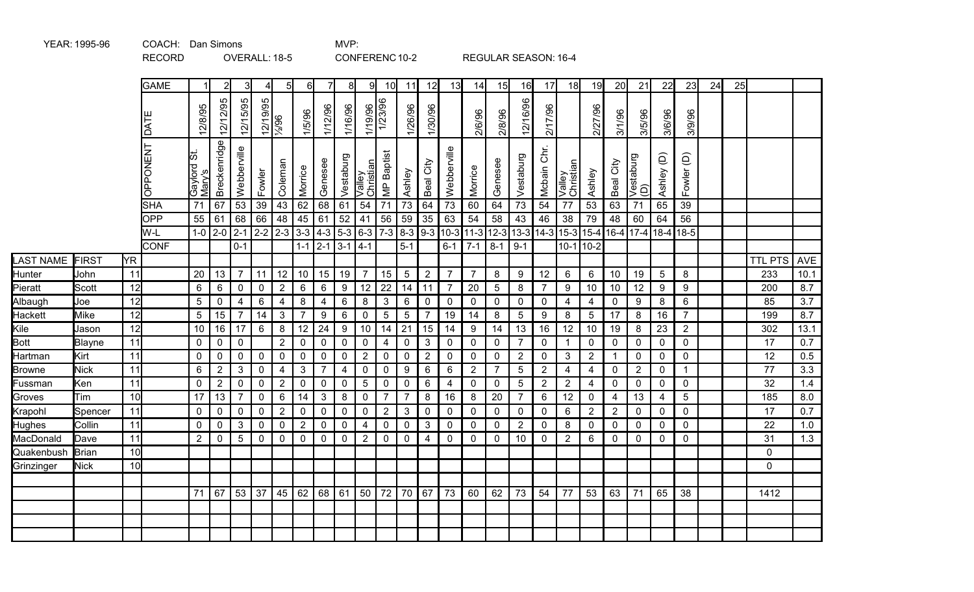|                |              |           | <b>RECORD</b>      |                       |                |                     | OVERALL: 18-5 |                 |                  |                                      |                  |                                   |                         | CONFERENC 10-2  |                 |                | REGULAR SEASON: 16-4                      |                |                           |                |                         |                |                |                  |             |                 |    |    |                |      |
|----------------|--------------|-----------|--------------------|-----------------------|----------------|---------------------|---------------|-----------------|------------------|--------------------------------------|------------------|-----------------------------------|-------------------------|-----------------|-----------------|----------------|-------------------------------------------|----------------|---------------------------|----------------|-------------------------|----------------|----------------|------------------|-------------|-----------------|----|----|----------------|------|
|                |              |           | <b>GAME</b>        | 1                     |                |                     | 4             | 5               | $6 \mid$         | $\overline{7}$                       | 81               | 91                                | 10                      | 11              | 12              | 13             | 14                                        | 15             | 16                        | 17             | 18                      | 19             | 20             | 21               | 22          | 23              | 24 | 25 |                |      |
|                |              |           | DATE               | 12/8/95               | 12/12/95       | 12/15/95            | 12/19/95      | 96/%            | 1/5/96           | 1/12/96                              | 1/16/96          |                                   | 1/19/96<br>1/23/96      | 1/26/96         | 1/30/96         |                | 2/6/96                                    | 2/8/96         | 12/16/96                  | 2/17/96        |                         | 2/27/96        | 3/1/96         | 3/5/96           | 3/6/96      | 3/9/96          |    |    |                |      |
|                |              |           | <b>UNBNOddO</b>    | Gaylord St.<br>Mary's | Breckenridge   | Webberville         | Fowler        | Coleman         | Morrice          | Genesee                              | Vestaburg        | $\tilde{e}$<br>Valley<br>Christia | <b>MP</b> Baptist       | Ashley          | Beal City       | Webberville    | Morrice                                   | Genesee        | Vestaburg                 | Mcbain Chr.    | Ψ<br>Valley<br>Christia | Ashley         | City<br>Beal   | Vestaburg<br>(D) | Ashley (D)  | Fowler (D)      |    |    |                |      |
|                |              |           | <b>SHA</b>         | 71                    | 67             | 53                  | 39            | 43              | 62               | 68                                   | 61               | 54                                | 71                      | 73              | 64              | 73             | 60                                        | 64             | 73                        | 54             | 77                      | 53             | 63             | 71               | 65          | 39              |    |    |                |      |
|                |              |           | <b>OPP</b>         | 55                    | 61             | 68                  | 66            | 48              | 45               | 61                                   | 52               | 41                                | 56                      | 59              | $\overline{35}$ | 63             | 54                                        | 58             | 43                        | 46             | 38                      | 79             | 48             | 60               | 64          | 56              |    |    |                |      |
|                |              |           | W-L<br><b>CONF</b> | $1-0$                 | $2 - 0$        | $2-1$<br>$0 - 1$    |               | $2 - 2$ 2 - 3   |                  | $3-3$ 4-3 5-3<br>$1 - 1$   2-1   3-1 |                  | $6-3$<br>$14-1$                   |                         | $5 - 1$         |                 | $6 - 1$        | $\sqrt{7-3}$ 8-3 9-3 10-3 11-3<br>$7 - 1$ | $8 - 1$        | 12-3 13-3 14-3<br>$9 - 1$ |                | $15-3$<br>$10-1$ 10-2   | $15 - 4$       |                | $16-4$ 17-4 18-4 |             | 18-5            |    |    |                |      |
| LAST NAME      | FIRST        | <b>YR</b> |                    |                       |                |                     |               |                 |                  |                                      |                  |                                   |                         |                 |                 |                |                                           |                |                           |                |                         |                |                |                  |             |                 |    |    | <b>TTL PTS</b> | AVE  |
| Hunter         | John         | 11        |                    | 20                    | 13             | $\overline{7}$      | 11            | 12              | 10               | 15                                   | 19               | $\overline{7}$                    | 15                      | $5\phantom{.0}$ | $\overline{2}$  | $\overline{7}$ | $\overline{7}$                            | 8              | 9                         | 12             | 6                       | 6              | 10             | 19               | 5           | 8               |    |    | 233            | 10.1 |
| Pieratt        | Scott        | 12        |                    | $\,6$                 | $\,6\,$        | $\pmb{0}$           | $\mathbf 0$   | 2 <sup>7</sup>  | 6                | $\,6\,$                              | $\boldsymbol{9}$ | 12                                | 22                      | 14              | 11              | $\overline{7}$ | 20                                        | $\sqrt{5}$     | 8                         | $\overline{7}$ | 9                       | 10             | 10             | 12               | 9           | 9               |    |    | 200            | 8.7  |
| Albaugh        | Joe          | 12        |                    | 5                     | $\mathbf 0$    | $\overline{4}$      | 6             | $\overline{4}$  | 8                | 4                                    | 6                | $\bf 8$                           | $\mathfrak{Z}$          | 6               | $\mathbf 0$     | $\mathbf 0$    | $\mathbf{0}$                              | $\mathbf 0$    | $\mathbf 0$               | $\mathbf 0$    | $\overline{4}$          | $\overline{4}$ | $\mathbf 0$    | 9                | 8           | $6\phantom{1}$  |    |    | 85             | 3.7  |
| <b>Hackett</b> | <b>Mike</b>  | 12        |                    | $\sqrt{5}$            | 15             | $\overline{7}$      | 14            | 3 <sup>1</sup>  | $\overline{7}$   | 9                                    | 6                | $\pmb{0}$                         | 5                       | $\sqrt{5}$      | $\overline{7}$  | 19             | 14                                        | $\bf 8$        | $5\phantom{.0}$           | 9              | 8                       | $\overline{5}$ | 17             | 8                | 16          | $\overline{7}$  |    |    | 199            | 8.7  |
| Kile           | Jason        | 12        |                    | 10                    | $16\,$         | 17                  | 6             | 8               | 12               | 24                                   | 9                | 10                                | 14                      | 21              | 15              | 14             | 9                                         | 14             | 13                        | 16             | 12                      | 10             | 19             | 8                | 23          | $\overline{2}$  |    |    | 302            | 13.1 |
| <b>Bott</b>    | Blayne       | 11        |                    | 0                     | 0              | $\mathsf{O}\xspace$ |               | 2 <sup>1</sup>  | $\pmb{0}$        | $\mathbf 0$                          | $\mathbf{0}$     | $\pmb{0}$                         | $\overline{\mathbf{4}}$ | 0               | $\mathbf{3}$    | $\mathbf 0$    | 0                                         | 0              | $\overline{7}$            | $\mathbf 0$    | $\mathbf{1}$            | $\mathbf 0$    | $\mathbf 0$    | $\mathbf 0$      | $\mathbf 0$ | $\mathbf 0$     |    |    | 17             | 0.7  |
| Hartman        | Kirt         | 11        |                    | $\mathbf 0$           | 0              | $\pmb{0}$           | $\mathbf 0$   | $\mathbf{0}$    | $\mathbf 0$      | $\mathbf 0$                          | $\mathbf 0$      | 2                                 | $\overline{0}$          | $\mathbf 0$     | $\overline{2}$  | $\mathbf 0$    | $\mathbf 0$                               | $\mathbf 0$    | $\overline{2}$            | $\mathbf 0$    | 3                       | $\overline{2}$ |                | $\mathbf 0$      | $\mathbf 0$ | $\mathbf 0$     |    |    | 12             | 0.5  |
| <b>Browne</b>  | <b>Nick</b>  | 11        |                    | 6                     | $\overline{2}$ | 3                   | $\mathbf 0$   | 4               | $\mathbf{3}$     | $\overline{7}$                       | 4                | $\mathbf 0$                       | $\mathbf 0$             | 9               | 6               | 6              | $\overline{2}$                            | $\overline{7}$ | $5\phantom{.0}$           | $\overline{2}$ | $\overline{4}$          | $\overline{4}$ | $\mathbf 0$    | $\overline{2}$   | $\mathbf 0$ | $\mathbf{1}$    |    |    | 77             | 3.3  |
| Fussman        | Ken          | 11        |                    | $\mathbf 0$           | $\overline{2}$ | $\pmb{0}$           | $\mathbf 0$   | 2 <sup>7</sup>  | $\mathbf 0$      | $\pmb{0}$                            | $\mathbf 0$      | $\overline{5}$                    | $\mathbf 0$             | $\mathbf 0$     | $\,6$           | $\overline{4}$ | $\mathbf 0$                               | $\mathbf 0$    | $5\phantom{.0}$           | $\overline{2}$ | $\overline{2}$          | $\overline{4}$ | $\mathbf 0$    | $\mathbf 0$      | $\mathbf 0$ | $\mathbf 0$     |    |    | 32             | 1.4  |
| Groves         | Tim          | 10        |                    | 17                    | 13             | $\overline{7}$      | $\mathbf 0$   | $6\overline{6}$ | 14               | $\mathbf{3}$                         | 8                | $\mathbf 0$                       | $\overline{7}$          | $\overline{7}$  | 8               | 16             | 8                                         | 20             | $\overline{7}$            | 6              | 12                      | $\mathbf 0$    | 4              | 13               | 4           | $5\phantom{.0}$ |    |    | 185            | 8.0  |
| Krapohl        | Spencer      | 11        |                    | $\pmb{0}$             | 0              | $\pmb{0}$           | $\mathbf 0$   | $\overline{2}$  | $\pmb{0}$        | $\pmb{0}$                            | $\mathbf 0$      | $\pmb{0}$                         | $\sqrt{2}$              | $\mathfrak{B}$  | $\pmb{0}$       | $\pmb{0}$      | $\pmb{0}$                                 | $\mathbf 0$    | $\mathbf 0$               | $\mathbf 0$    | 6                       | $\overline{2}$ | $\overline{2}$ | $\mathbf 0$      | $\mathbf 0$ | $\mathbf 0$     |    |    | 17             | 0.7  |
| <b>Hughes</b>  | Collin       | 11        |                    | $\mathbf 0$           | 0              | $\mathfrak{B}$      | $\pmb{0}$     | $\mathbf 0$     | $\boldsymbol{2}$ | $\mathbf 0$                          | $\mathbf 0$      | $\overline{\mathbf{4}}$           | $\pmb{0}$               | $\mathbf 0$     | $\mathbf{3}$    | $\mathbf 0$    | $\mathbf 0$                               | $\mathbf 0$    | $\overline{2}$            | $\mathbf 0$    | 8                       | $\mathbf 0$    | 0              | $\mathbf 0$      | $\mathbf 0$ | $\mathbf 0$     |    |    | 22             | 1.0  |
| MacDonald      | Dave         | 11        |                    | $\overline{2}$        | $\mathbf 0$    | 5                   | $\pmb{0}$     | $\mathbf 0$     | $\pmb{0}$        | $\mathbf 0$                          | $\mathbf 0$      | $\overline{2}$                    | $\pmb{0}$               | $\mathbf 0$     | $\overline{4}$  | $\mathbf 0$    | $\mathbf 0$                               | $\mathbf 0$    | 10                        | $\mathbf 0$    | $\overline{2}$          | 6              | $\mathbf 0$    | $\mathbf 0$      | $\mathbf 0$ | $\mathbf 0$     |    |    | 31             | 1.3  |
| Quakenbush     | <b>Brian</b> | 10        |                    |                       |                |                     |               |                 |                  |                                      |                  |                                   |                         |                 |                 |                |                                           |                |                           |                |                         |                |                |                  |             |                 |    |    | $\mathbf 0$    |      |
| Grinzinger     | <b>Nick</b>  | 10        |                    |                       |                |                     |               |                 |                  |                                      |                  |                                   |                         |                 |                 |                |                                           |                |                           |                |                         |                |                |                  |             |                 |    |    | $\mathbf{0}$   |      |
|                |              |           |                    |                       |                |                     |               |                 |                  |                                      |                  |                                   |                         |                 |                 |                |                                           |                |                           |                |                         |                |                |                  |             |                 |    |    |                |      |
|                |              |           |                    | 71                    | 67             | 53                  | 37            | 45              | 62               | 68 61                                |                  | 50                                | 72                      | 70              | 67              | 73             | 60                                        | 62             | 73                        | 54             | 77                      | 53             | 63             | 71               | 65          | 38              |    |    | 1412           |      |
|                |              |           |                    |                       |                |                     |               |                 |                  |                                      |                  |                                   |                         |                 |                 |                |                                           |                |                           |                |                         |                |                |                  |             |                 |    |    |                |      |
|                |              |           |                    |                       |                |                     |               |                 |                  |                                      |                  |                                   |                         |                 |                 |                |                                           |                |                           |                |                         |                |                |                  |             |                 |    |    |                |      |
|                |              |           |                    |                       |                |                     |               |                 |                  |                                      |                  |                                   |                         |                 |                 |                |                                           |                |                           |                |                         |                |                |                  |             |                 |    |    |                |      |

YEAR: 1995-96 COACH: Dan Simons COACH: Dan Simons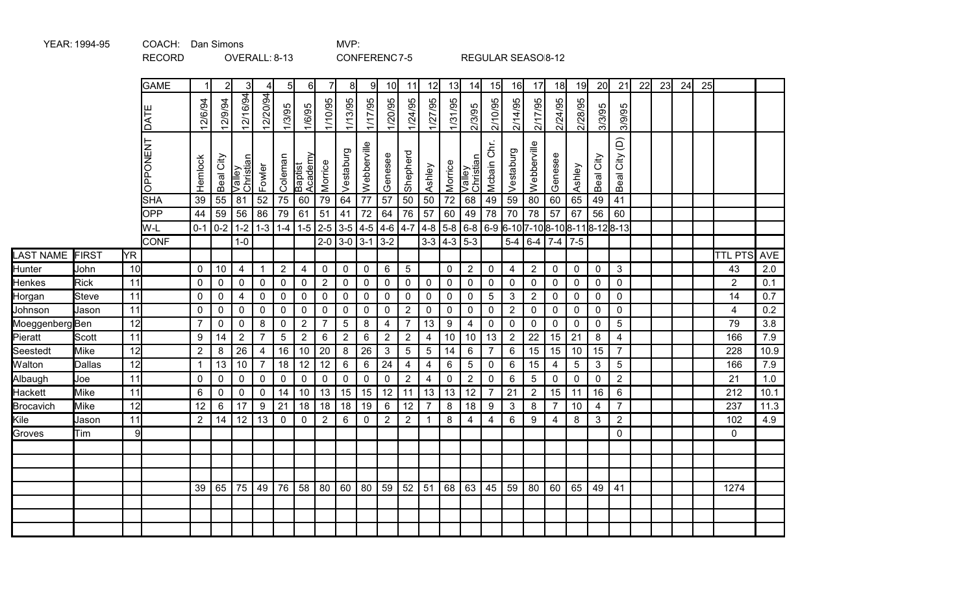|                 |               |           | <b>RECORD</b> |                 |                                                               | OVERALL: 8-13       |                     |                |                    |                |             |                     | CONFERENC7-5            |                 |                 |                 |                     |                         | REGULAR SEASO 8-12 |                  |                                                        |                 |                |                                 |    |    |    |    |                |      |
|-----------------|---------------|-----------|---------------|-----------------|---------------------------------------------------------------|---------------------|---------------------|----------------|--------------------|----------------|-------------|---------------------|-------------------------|-----------------|-----------------|-----------------|---------------------|-------------------------|--------------------|------------------|--------------------------------------------------------|-----------------|----------------|---------------------------------|----|----|----|----|----------------|------|
|                 |               |           | <b>GAME</b>   | $\mathbf{1}$    | $\overline{2}$                                                | 31                  | 4                   | 5              | $6 \mid$           | 7              | 8           | 9                   | 10 <sup>1</sup>         | 11              | 12              | 13              | 14                  | 15                      | 16                 | 17               | 18                                                     | 19              | 20             | 21                              | 22 | 23 | 24 | 25 |                |      |
|                 |               |           | <b>TYQ</b>    | 12/6/94         | 12/9/94                                                       | 12/16/94            | 12/20/94            | 1/3/95         | 1/6/95             | 1/10/95        | 1/13/95     | 1/17/95             | 1/20/95                 | 1/24/95         | 1/27/95         | 1/31/95         | 2/3/95              | 2/10/95                 | 2/14/95            | 2/17/95          | 2/24/95                                                | 2/28/95         | 3/3/95         | 3/9/95                          |    |    |    |    |                |      |
|                 |               |           | OPPONENT      | Hemlock         | Beal City                                                     | Valley<br>Christian | Fowler              | Coleman        | Baptist<br>Academy | Morrice        | Vestaburg   | Webberville         | Genesee                 | Shepherd        | Ashley          | Morrice         | Valley<br>Christian | Mcbain Chr.             | Vestaburg          | Webberville      | Genesee                                                | Ashley          | Beal City      | $\widehat{\Theta}$<br>Beal City |    |    |    |    |                |      |
|                 |               |           | <b>SHA</b>    | $\overline{39}$ | 55                                                            | 81                  | $\overline{52}$     | 75             | 60                 | 79             | 64          | $\overline{77}$     | 57                      | $\overline{50}$ | $\overline{50}$ | $\overline{72}$ | 68                  | 49                      | 59                 | $\overline{80}$  | 60                                                     | 65              | 49             | 41                              |    |    |    |    |                |      |
|                 |               |           | OPP<br>W-L    | 44              | 59<br>$0-1$   $0-2$   1-2   1-3   1-4   1-5   2-5   3-5   4-5 | 56                  | 86                  | 79             | 61                 | 51             | 41          | $72\,$              | 64<br>$4-6$ $4-7$ $4-8$ | 76              | 57              | 60              | 49                  | 78                      | 70                 | 78               | 57<br>  5-8   6-8   6-9  6-10 7-10 8-10 8-11 8-12 8-13 | 67              | 56             | 60                              |    |    |    |    |                |      |
|                 |               |           | <b>CONF</b>   |                 |                                                               | $1-0$               |                     |                |                    |                |             | $2 - 0$ 3 - 0 3 - 1 | $3-2$                   |                 | $3 - 3$         | $ 4-3 5-3$      |                     |                         | $5-4$              | $6-4$            | $7-4$ 7-5                                              |                 |                |                                 |    |    |    |    |                |      |
| LAST NAME FIRST |               | <b>YR</b> |               |                 |                                                               |                     |                     |                |                    |                |             |                     |                         |                 |                 |                 |                     |                         |                    |                  |                                                        |                 |                |                                 |    |    |    |    | <b>TTL PTS</b> | AVE  |
| Hunter          | John          | 10        |               | $\mathbf 0$     | 10                                                            | $\overline{4}$      | $\mathbf{1}$        | $\overline{2}$ | $\overline{4}$     | $\mathsf 0$    | $\mathbf 0$ | $\mathbf 0$         | 6                       | $5\phantom{.0}$ |                 | $\mathbf 0$     | $\overline{2}$      | $\mathbf 0$             | $\overline{4}$     | $\overline{2}$   | $\mathbf 0$                                            | $\mathbf 0$     | $\mathbf 0$    | $\mathbf{3}$                    |    |    |    |    | 43             | 2.0  |
| Henkes          | <b>Rick</b>   | 11        |               | $\mathbf 0$     | $\mathbf 0$                                                   | $\pmb{0}$           | $\mathbf 0$         | $\mathbf 0$    | $\pmb{0}$          | $\sqrt{2}$     | $\mathbf 0$ | $\mathbf 0$         | $\pmb{0}$               | $\mathbf 0$     | $\mathbf 0$     | $\mathbf 0$     | $\mathbf 0$         | $\mathbf 0$             | $\mathbf 0$        | $\mathbf 0$      | $\mathbf 0$                                            | $\mathbf 0$     | $\pmb{0}$      | $\mathbf 0$                     |    |    |    |    | $\overline{2}$ | 0.1  |
| Horgan          | <b>Steve</b>  | 11        |               | $\mathbf 0$     | $\mathbf 0$                                                   | $\overline{4}$      | $\mathbf 0$         | $\mathbf 0$    | $\mathbf 0$        | $\mathbf 0$    | $\mathbf 0$ | $\mathbf 0$         | $\mathbf 0$             | $\mathbf 0$     | $\mathbf 0$     | $\mathbf 0$     | $\mathbf 0$         | $5\phantom{1}$          | 3                  | $\overline{2}$   | $\mathbf 0$                                            | $\mathbf 0$     | $\mathbf 0$    | $\mathbf 0$                     |    |    |    |    | 14             | 0.7  |
| Johnson         | Jason         | 11        |               | $\pmb{0}$       | $\pmb{0}$                                                     | $\pmb{0}$           | $\pmb{0}$           | $\pmb{0}$      | $\pmb{0}$          | $\pmb{0}$      | $\pmb{0}$   | $\mathbf 0$         | $\pmb{0}$               | $\overline{2}$  | $\mathbf 0$     | $\mathbf 0$     | $\boldsymbol{0}$    | $\mathbf 0$             | $\overline{2}$     | $\pmb{0}$        | $\mathbf 0$                                            | $\mathbf 0$     | $\pmb{0}$      | $\mathbf 0$                     |    |    |    |    | $\overline{4}$ | 0.2  |
| MoeggenbergBen  |               | 12        |               | $\overline{7}$  | $\pmb{0}$                                                     | $\pmb{0}$           | $\bf 8$             | $\pmb{0}$      | $\sqrt{2}$         | $\overline{7}$ | $\sqrt{5}$  | 8                   | 4                       | $\overline{7}$  | 13              | 9               | $\overline{4}$      | $\mathbf 0$             | $\mathbf 0$        | $\mathbf 0$      | $\mathbf 0$                                            | $\mathbf 0$     | $\pmb{0}$      | 5 <sup>5</sup>                  |    |    |    |    | 79             | 3.8  |
| Pieratt         | Scott         | 11        |               | 9               | 14                                                            | $\sqrt{2}$          | $\overline{7}$      | $\sqrt{5}$     | $\sqrt{2}$         | $\,6\,$        | $\sqrt{2}$  | 6                   | $\overline{2}$          | $\sqrt{2}$      | $\overline{4}$  | 10              | 10                  | 13                      | $\overline{2}$     | 22               | 15                                                     | 21              | 8              | $\overline{4}$                  |    |    |    |    | 166            | 7.9  |
| <b>Seestedt</b> | Mike          | 12        |               | $\overline{2}$  | $\bf 8$                                                       | $\overline{26}$     | 4                   | 16             | 10                 | 20             | 8           | 26                  | $\mathbf{3}$            | $\sqrt{5}$      | $5\phantom{.0}$ | 14              | 6                   | $\overline{7}$          | $\,6$              | 15               | 15                                                     | 10 <sup>°</sup> | 15             | $\overline{7}$                  |    |    |    |    | 228            | 10.9 |
| Walton          | <b>Dallas</b> | 12        |               | $\overline{1}$  | 13                                                            | 10                  | $\overline{7}$      | 18             | 12                 | 12             | 6           | $6\phantom{1}$      | 24                      | $\overline{4}$  | $\overline{4}$  | 6               | $5\phantom{.0}$     | $\mathbf 0$             | 6                  | 15               | 4                                                      | 5               | 3              | $5\phantom{.0}$                 |    |    |    |    | 166            | 7.9  |
| Albaugh         | Joe           | 11        |               | $\mathbf 0$     | $\pmb{0}$                                                     | $\pmb{0}$           | $\mathbf 0$         | $\pmb{0}$      | $\pmb{0}$          | $\mathbf 0$    | $\mathbf 0$ | $\mathbf 0$         | $\pmb{0}$               | $\overline{2}$  | $\overline{4}$  | $\mathbf 0$     | $\sqrt{2}$          | $\mathbf 0$             | $6\phantom{1}6$    | 5                | $\mathbf 0$                                            | $\mathbf 0$     | $\mathbf 0$    | $\overline{2}$                  |    |    |    |    | 21             | 1.0  |
| <b>Hackett</b>  | <b>Mike</b>   | 11        |               | $\,6$           | $\mathsf 0$                                                   | $\pmb{0}$           | $\mathsf{O}\xspace$ | 14             | 10                 | 13             | 15          | 15                  | 12                      | 11              | 13              | 13              | 12                  | $\overline{7}$          | 21                 | $\overline{2}$   | 15                                                     | 11              | 16             | $6\phantom{.}$                  |    |    |    |    | 212            | 10.1 |
| Brocavich       | <b>Mike</b>   | 12        |               | 12              | $\,6\,$                                                       | 17                  | $\boldsymbol{9}$    | 21             | 18                 | 18             | 18          | 19                  | $\,6\,$                 | 12              | $\overline{7}$  | 8               | 18                  | $9\,$                   | $\mathfrak{Z}$     | $\bf 8$          | $\overline{7}$                                         | $10$            | $\overline{4}$ | $\overline{7}$                  |    |    |    |    | 237            | 11.3 |
| Kile            | Jason         | 11        |               | $\overline{2}$  | 14                                                            | 12                  | 13                  | $\mathbf 0$    | $\pmb{0}$          | $\overline{2}$ | $\,6\,$     | 0                   | $\overline{2}$          | $\sqrt{2}$      | -1              | $\bf 8$         | 4                   | $\overline{\mathbf{4}}$ | $\,6$              | $\boldsymbol{9}$ | 4                                                      | 8               | $\mathfrak{S}$ | $\overline{2}$                  |    |    |    |    | 102            | 4.9  |
| Groves          | <b>Tim</b>    | 9         |               |                 |                                                               |                     |                     |                |                    |                |             |                     |                         |                 |                 |                 |                     |                         |                    |                  |                                                        |                 |                | $\mathbf 0$                     |    |    |    |    | 0              |      |
|                 |               |           |               |                 |                                                               |                     |                     |                |                    |                |             |                     |                         |                 |                 |                 |                     |                         |                    |                  |                                                        |                 |                |                                 |    |    |    |    |                |      |
|                 |               |           |               |                 |                                                               |                     |                     |                |                    |                |             |                     |                         |                 |                 |                 |                     |                         |                    |                  |                                                        |                 |                |                                 |    |    |    |    |                |      |
|                 |               |           |               |                 |                                                               |                     |                     |                |                    |                |             |                     |                         |                 |                 |                 |                     |                         |                    |                  |                                                        |                 |                |                                 |    |    |    |    |                |      |
|                 |               |           |               | 39              | 65                                                            | 75                  | 49                  | 76             | 58                 | 80             | 60          | 80                  | 59                      | 52              | 51              | 68              | 63                  | 45                      | 59                 | 80               | 60                                                     | 65              | 49             | 41                              |    |    |    |    | 1274           |      |
|                 |               |           |               |                 |                                                               |                     |                     |                |                    |                |             |                     |                         |                 |                 |                 |                     |                         |                    |                  |                                                        |                 |                |                                 |    |    |    |    |                |      |
|                 |               |           |               |                 |                                                               |                     |                     |                |                    |                |             |                     |                         |                 |                 |                 |                     |                         |                    |                  |                                                        |                 |                |                                 |    |    |    |    |                |      |
|                 |               |           |               |                 |                                                               |                     |                     |                |                    |                |             |                     |                         |                 |                 |                 |                     |                         |                    |                  |                                                        |                 |                |                                 |    |    |    |    |                |      |

YEAR: 1994-95 COACH: Dan Simons COACH: Dan Simons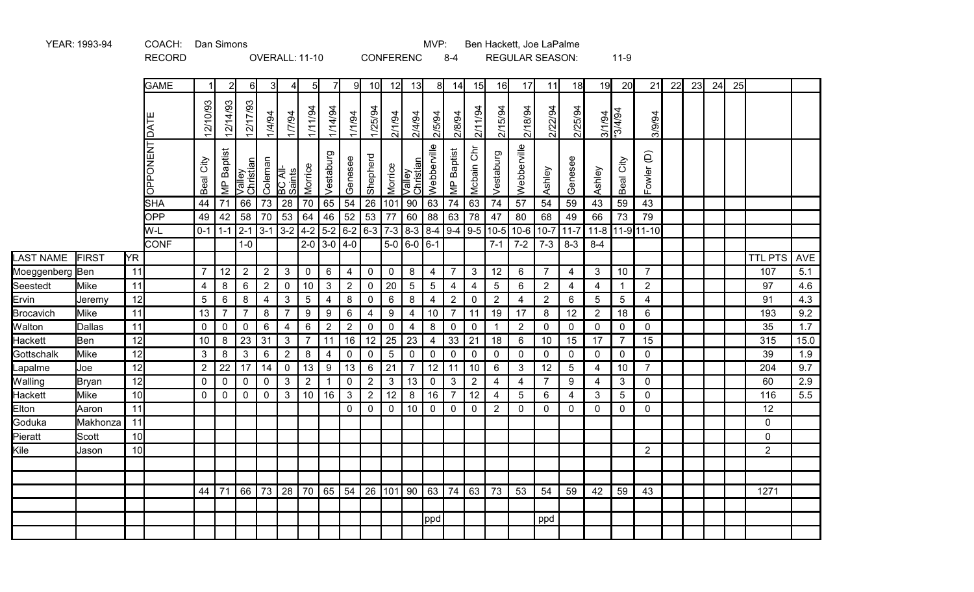|                           |                |          | <b>RECORD</b>   |                              |                   |                     |                | OVERALL: 11-10      |                                |                                    |                  |                                             | <b>CONFERENC</b>      |                      |                      | $8 - 4$                          |                               |                                   | <b>REGULAR SEASON:</b> |                                  |                     |                     | $11-9$                          |                              |    |    |    |    |                |            |
|---------------------------|----------------|----------|-----------------|------------------------------|-------------------|---------------------|----------------|---------------------|--------------------------------|------------------------------------|------------------|---------------------------------------------|-----------------------|----------------------|----------------------|----------------------------------|-------------------------------|-----------------------------------|------------------------|----------------------------------|---------------------|---------------------|---------------------------------|------------------------------|----|----|----|----|----------------|------------|
|                           |                |          | <b>GAME</b>     | -1                           | 2                 | 61                  | 31             | 4                   | $5 \vert$                      | 71                                 | 9                | 10 <sup>l</sup>                             | 12                    | 13                   | 8                    | 14                               | 15                            | 16                                | 17                     | 11                               | 18                  | 19                  | 20                              | 21                           | 22 | 23 | 24 | 25 |                |            |
|                           |                |          | DATE            | 12/10/93                     | 12/14/93          | 12/17/93            | 1/4/94         | 17/94               | 1/11/94                        | 1/14/94                            | 1/1/94           | 1/25/94                                     | 2/1/94                | 2/4/94               | 2/5/94               | 2/8/94                           | 2/11/94                       | 2/15/94                           | 2/18/94                | 2/22/94                          | 2/25/94             | 3/1/94              | -3/4/94                         | 3/9/94                       |    |    |    |    |                |            |
|                           |                |          | <b>OPPONENT</b> | Beal City                    | <b>MP</b> Baptist | Valley<br>Christian | Coleman        | BC All-<br>Saints   | Morrice                        | Vestaburg                          | Genesee          | Shepherd                                    | Morrice               | Valley<br>Christian  | Webberville          | <b>MP</b> Baptist                | Mcbain Chr                    | Vestaburg                         | Webberville            | Ashley                           | Genesee             | Ashley              | Beal City                       | $\widehat{\Theta}$<br>Fowler |    |    |    |    |                |            |
|                           |                |          | SHA             | 44                           | 71                | 66                  | 73             | 28                  | 70                             | 65                                 | 54               | 26                                          | 101                   | $90\,$               | 63                   | 74                               | 63                            | 74                                | 57                     | 54                               | 59                  | 43                  | 59                              | 43                           |    |    |    |    |                |            |
|                           |                |          | <b>OPP</b>      | 49                           | 42                | 58                  | 70             | 53                  | 64                             | 46                                 | 52               | 53                                          | 77                    | 60                   | 88                   | 63                               | 78                            | 47                                | 80                     | 68                               | 49                  | 66                  | 73                              | 79                           |    |    |    |    |                |            |
|                           |                |          | W-L             |                              | $0-1$ 1 - 1 2 - 1 |                     | $3-1$          | $3-2$               | $4-2$                          |                                    | $5-2$ 6-2 6-3    |                                             | $7-3$                 |                      |                      |                                  |                               | $8-3$ $8-4$ 9-4 9-5 10-5          | $10-6$                 | $10 - 7$                         | $11-7$              | $11 - 8$            |                                 | 11-911-10                    |    |    |    |    |                |            |
|                           |                |          | <b>CONF</b>     |                              |                   | $1-0$               |                |                     | $2 - 0$                        | $3-0$ 4-0                          |                  |                                             | $5-0$                 | $ 6 - 0  6 - 1$      |                      |                                  |                               | $7 - 1$                           | $7 - 2$                | $7 - 3$                          | $8 - 3$             | $8 - 4$             |                                 |                              |    |    |    |    |                |            |
| LAST NAME                 | FIRST          | YR       |                 |                              |                   |                     |                |                     |                                |                                    |                  |                                             |                       |                      |                      |                                  |                               |                                   |                        |                                  |                     |                     |                                 |                              |    |    |    |    | <b>TTL PTS</b> | AVE        |
| Moeggenberg Ben           |                | 11       |                 | $\overline{7}$               | 12                | $\overline{2}$      | $\overline{2}$ | $\mathbf{3}$        | $\mathbf 0$                    | $6\phantom{1}6$                    | $\overline{4}$   | $\mathbf 0$                                 | $\mathbf 0$           | 8                    | $\overline{4}$       | $\overline{7}$                   | $\mathbf{3}$                  | 12                                | 6                      | $\overline{7}$                   | 4                   | $\mathbf{3}$        | 10                              | $\overline{7}$               |    |    |    |    | 107            | 5.1        |
| Seestedt                  | Mike           | 11<br>12 |                 | $\overline{4}$<br>$\sqrt{5}$ | $\bf 8$<br>6      | 6<br>8              | $\overline{2}$ | $\mathbf 0$         | $10$                           | $\mathbf{3}$                       | $\overline{2}$   | $\pmb{0}$                                   | 20                    | $5\overline{)}$<br>8 | 5 <sup>5</sup>       | $\overline{4}$                   | $\overline{4}$<br>$\mathbf 0$ | $5\phantom{.0}$<br>$\overline{2}$ | 6<br>$\overline{4}$    | $\overline{2}$<br>$\overline{2}$ | $\overline{4}$<br>6 | $\overline{4}$<br>5 | $\mathbf{1}$<br>$5\phantom{.0}$ | $\overline{2}$<br>4          |    |    |    |    | 97<br>91       | 4.6<br>4.3 |
| Ervin<br><b>Brocavich</b> | Jeremy<br>Mike | 11       |                 | 13                           | $\overline{7}$    | $\overline{7}$      | 4<br>$\bf 8$   | 3<br>$\overline{7}$ | $\sqrt{5}$<br>$\boldsymbol{9}$ | $\overline{4}$<br>$\boldsymbol{9}$ | $\bf 8$<br>$\,6$ | $\boldsymbol{0}$<br>$\overline{\mathbf{4}}$ | 6<br>$\boldsymbol{9}$ | $\overline{4}$       | $\overline{4}$<br>10 | $\overline{2}$<br>$\overline{7}$ | 11                            | 19                                | 17                     | 8                                | 12                  | $\overline{2}$      | 18                              | 6                            |    |    |    |    | 193            | 9.2        |
| Walton                    | Dallas         | 11       |                 | 0                            | $\mathbf 0$       | $\mathbf{0}$        | $\,6$          | $\overline{4}$      | 6                              | $\sqrt{2}$                         | $\mathbf{2}$     | $\boldsymbol{0}$                            | $\mathbf 0$           | 4                    | 8                    | $\mathbf 0$                      | $\mathbf 0$                   | -1                                | $\overline{2}$         | $\mathbf 0$                      | $\mathbf 0$         | $\mathbf 0$         | $\mathbf 0$                     | 0                            |    |    |    |    | 35             | 1.7        |
| <b>Hackett</b>            | <b>Ben</b>     | 12       |                 | 10                           | 8                 | 23                  | 31             | $\mathbf{3}$        | $\overline{7}$                 | 11                                 | 16               | 12                                          | 25                    | 23                   | $\overline{4}$       | 33                               | 21                            | 18                                | 6                      | 10                               | 15                  | 17                  | $\overline{7}$                  | 15                           |    |    |    |    | 315            | 15.0       |
| Gottschalk                | Mike           | 12       |                 | $\mathfrak{Z}$               | 8                 | 3                   | 6              | $\overline{2}$      | 8                              | $\overline{4}$                     | $\mathbf 0$      | $\mathbf 0$                                 | $5\overline{)}$       | $\mathsf{O}$         | $\mathbf 0$          | $\mathsf{O}\xspace$              | $\mathbf 0$                   | $\mathbf 0$                       | $\mathbf 0$            | $\mathbf{0}$                     | $\mathbf 0$         | $\mathbf 0$         | $\mathbf 0$                     | 0                            |    |    |    |    | 39             | 1.9        |
| Lapalme                   | Joe            | 12       |                 | $\mathbf{2}$                 | 22                | 17                  | 14             | $\mathbf 0$         | 13                             | $\boldsymbol{9}$                   | 13               | $\,6\,$                                     | $\overline{21}$       | $\overline{7}$       | 12                   | 11                               | 10                            | 6                                 | 3                      | 12                               | 5                   | $\overline{4}$      | 10                              | $\overline{7}$               |    |    |    |    | 204            | 9.7        |
| Walling                   | Bryan          | 12       |                 | $\mathbf 0$                  | $\mathbf 0$       | $\mathbf 0$         | $\mathbf 0$    | 3                   | $\overline{2}$                 | $\overline{1}$                     | $\pmb{0}$        | $\overline{2}$                              | $\mathbf{3}$          | 13                   | $\mathbf 0$          | $\mathfrak{S}$                   | $\overline{2}$                | $\overline{4}$                    | $\overline{4}$         | $\overline{7}$                   | 9                   | $\overline{4}$      | $\mathbf{3}$                    | 0                            |    |    |    |    | 60             | 2.9        |
| <b>Hackett</b>            | Mike           | 10       |                 | 0                            | $\mathbf 0$       | $\mathbf{0}$        | $\mathbf 0$    | 3                   | $10$                           | 16                                 | $\sqrt{3}$       | $\overline{2}$                              | 12                    | $\bf 8$              | 16                   | $\overline{7}$                   | 12                            | 4                                 | 5                      | 6                                | 4                   | 3                   | 5                               | 0                            |    |    |    |    | 116            | 5.5        |
| Elton                     | Aaron          | 11       |                 |                              |                   |                     |                |                     |                                |                                    | $\mathbf 0$      | $\mathbf 0$                                 | $\mathbf 0$           | 10                   | $\mathbf 0$          | $\mathbf 0$                      | $\mathbf 0$                   | $\overline{2}$                    | $\mathbf 0$            | $\mathbf 0$                      | $\mathbf{0}$        | $\mathbf{0}$        | $\mathbf 0$                     | 0                            |    |    |    |    | 12             |            |
| Goduka                    | Makhonza       | 11       |                 |                              |                   |                     |                |                     |                                |                                    |                  |                                             |                       |                      |                      |                                  |                               |                                   |                        |                                  |                     |                     |                                 |                              |    |    |    |    | 0              |            |
| Pieratt                   | Scott          | 10       |                 |                              |                   |                     |                |                     |                                |                                    |                  |                                             |                       |                      |                      |                                  |                               |                                   |                        |                                  |                     |                     |                                 |                              |    |    |    |    | 0              |            |
| Kile                      | Jason          | 10       |                 |                              |                   |                     |                |                     |                                |                                    |                  |                                             |                       |                      |                      |                                  |                               |                                   |                        |                                  |                     |                     |                                 | $\overline{2}$               |    |    |    |    | $\overline{2}$ |            |
|                           |                |          |                 |                              |                   |                     |                |                     |                                |                                    |                  |                                             |                       |                      |                      |                                  |                               |                                   |                        |                                  |                     |                     |                                 |                              |    |    |    |    |                |            |
|                           |                |          |                 |                              |                   |                     |                |                     |                                |                                    |                  |                                             |                       |                      |                      |                                  |                               |                                   |                        |                                  |                     |                     |                                 |                              |    |    |    |    |                |            |
|                           |                |          |                 | 44 I                         | 71                | 66                  | $ 73\rangle$   | 28                  |                                |                                    | 70 65 54         | 26                                          | $101$ 90              |                      | 63                   | 74                               | 63                            | 73                                | 53                     | 54                               | 59                  | 42                  | 59                              | 43                           |    |    |    |    | 1271           |            |
|                           |                |          |                 |                              |                   |                     |                |                     |                                |                                    |                  |                                             |                       |                      |                      |                                  |                               |                                   |                        |                                  |                     |                     |                                 |                              |    |    |    |    |                |            |
|                           |                |          |                 |                              |                   |                     |                |                     |                                |                                    |                  |                                             |                       |                      | ppd                  |                                  |                               |                                   |                        | ppd                              |                     |                     |                                 |                              |    |    |    |    |                |            |
|                           |                |          |                 |                              |                   |                     |                |                     |                                |                                    |                  |                                             |                       |                      |                      |                                  |                               |                                   |                        |                                  |                     |                     |                                 |                              |    |    |    |    |                |            |

MVP: Ben Hackett, Joe LaPalme

YEAR: 1993-94 COACH: Dan Simons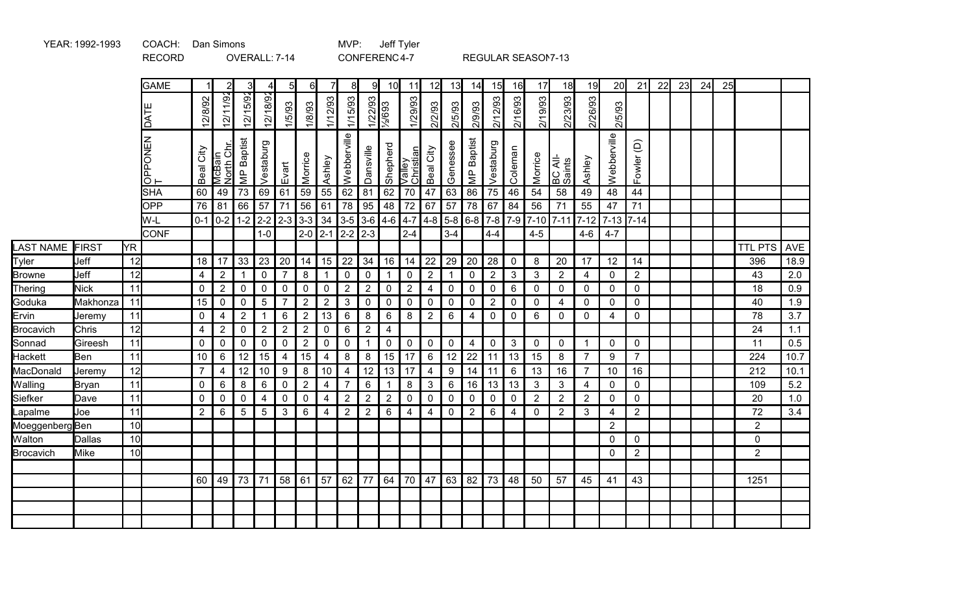|                |               |                 | <b>GAME</b>       |                | $\overline{2}$       | 3                 | 41             | 5 <sup>1</sup> | 6I             |                | 8              | 9I             | 10 <sup>1</sup>  | 11                  | 12                             | 13           | 14                      | 15             | 16              | 17             | 18                | 19             | 20             | 21             | 22 | 23 | 24 | 25 |                |            |
|----------------|---------------|-----------------|-------------------|----------------|----------------------|-------------------|----------------|----------------|----------------|----------------|----------------|----------------|------------------|---------------------|--------------------------------|--------------|-------------------------|----------------|-----------------|----------------|-------------------|----------------|----------------|----------------|----|----|----|----|----------------|------------|
|                |               |                 | DATE              | 2/8/92         | 12/11/92             | 12/15/92          | 12/18/92       | 1/5/93         | 1/8/93         | 1/12/93        | 1/15/93        | 1/22/93        | $\frac{1}{2693}$ | 1/29/93             | /2/93<br>$\tilde{\bm{\alpha}}$ | 2/5/93       | 2/9/93                  | 2/12/93        | 2/16/93         | 2/19/93        | 2/23/93           | 2/26/93        | 2/5/93         |                |    |    |    |    |                |            |
|                |               |                 | PONEN<br>௳<br>lō⊢ | City<br>Beal   | McBain<br>North Chr. | <b>MP</b> Baptist | Vestaburg      | Evart          | Morrice        | Ashley         | Webberville    | Dansville      | Shepherd         | Valley<br>Christian | Beal City                      | Genessee     | <b>MP</b> Baptist       | Vestaburg      | Coleman         | Morrice        | BC All-<br>Saints | Ashley         | Webberville    | Fowler (D)     |    |    |    |    |                |            |
|                |               |                 | <b>SHA</b>        | 60             | 49                   | 73                | 69             | 61             | 59             | 55             | 62             | 81             | 62               | 70                  | 47                             | 63           | 86                      | 75             | 46              | 54             | 58                | 49             | 48             | 44             |    |    |    |    |                |            |
|                |               |                 | <b>OPP</b>        | 76             | 81                   | 66                | 57             | 71             | 56             | 61             | 78             | 95             | 48               | 72                  | 67                             | 57           | 78                      | 67             | 84              | 56             | 71                | 55             | 47             | 71             |    |    |    |    |                |            |
|                |               |                 | W-L               |                | $0-1$ 0-2            |                   |                | $1-2$ 2-2 2-3  | $3-3$          | 34             | $3-5$          | $3-6$          | $4-6$            | $4 - 7$             | $4 - 8$                        | $5-8$        | $6-8$                   | $7-8$          | $7-9$           | $7 - 10$       | $ 7 - 11 $        | $7 - 12$       | $7-13$ 7-14    |                |    |    |    |    |                |            |
|                |               |                 | <b>CONF</b>       |                |                      |                   | $1 - 0$        |                | $2 - 0$        | $2-1$          | $2-2$          | $2-3$          |                  | $2 - 4$             |                                | $3 - 4$      |                         | $4 - 4$        |                 | $4 - 5$        |                   | $4 - 6$        | $4 - 7$        |                |    |    |    |    |                |            |
| LAST NAME      | FIRST         | <b>YR</b>       |                   |                |                      |                   |                |                |                |                |                |                |                  |                     |                                |              |                         |                |                 |                |                   |                |                |                |    |    |    |    | <b>TTL PTS</b> | <b>AVE</b> |
| Tyler          | Jeff          | 12              |                   | 18             | 17                   | 33                | 23             | 20             | 14             | 15             | 22             | 34             | 16               | 14                  | 22                             | 29           | 20                      | 28             | $\mathbf 0$     | 8              | 20                | 17             | 12             | 14             |    |    |    |    | 396            | 18.9       |
| <b>Browne</b>  | Jeff          | 12              |                   | 4              | $\overline{2}$       | $\mathbf 1$       | $\mathbf 0$    | $\overline{7}$ | 8              |                | $\mathbf 0$    | $\overline{0}$ | -1               | $\mathbf 0$         | $\overline{2}$                 | $\mathbf{1}$ | $\pmb{0}$               | $\sqrt{2}$     | 3               | 3              | $\overline{2}$    | 4              | $\mathbf 0$    | $2^{\circ}$    |    |    |    |    | 43             | 2.0        |
| Thering        | <b>Nick</b>   | 11              |                   | 0              | $\overline{2}$       | 0                 | $\mathbf 0$    | 0              | $\mathbf 0$    | 0              | $\overline{2}$ | $\overline{2}$ | 0                | $\sqrt{2}$          | 4                              | $\mathbf 0$  | $\pmb{0}$               | $\mathbf 0$    | $6\phantom{1}6$ | $\mathbf 0$    | 0                 | 0              | 0              | $\mathbf 0$    |    |    |    |    | 18             | 0.9        |
| Goduka         | Makhonza      | 11              |                   | 15             | 0                    | 0                 | 5              | 7              | $\overline{2}$ | $\overline{2}$ | 3              | $\mathbf{0}$   | $\mathbf 0$      | $\mathbf 0$         | $\mathbf 0$                    | 0            | $\mathbf 0$             | $\overline{2}$ | 0               | 0              | 4                 | $\mathbf 0$    | $\mathbf{0}$   | $\mathbf 0$    |    |    |    |    | 40             | 1.9        |
| Ervin          | Jeremy        | 11              |                   | $\mathbf 0$    | 4                    | $\overline{2}$    | -1             | 6              | $\overline{2}$ | 13             | $\,6$          | 8              | 6                | 8                   | $\sqrt{2}$                     | 6            | $\overline{4}$          | $\pmb{0}$      | $\mathbf 0$     | 6              | 0                 | $\mathbf 0$    | 4              | $\mathbf 0$    |    |    |    |    | 78             | 3.7        |
| Brocavich      | Chris         | 12              |                   | 4              | $\overline{2}$       | 0                 | $\overline{2}$ | $\overline{2}$ | $\overline{2}$ | 0              | 6              | $\overline{2}$ | 4                |                     |                                |              |                         |                |                 |                |                   |                |                |                |    |    |    |    | 24             | 1.1        |
| Sonnad         | Gireesh       | 11              |                   | $\pmb{0}$      | 0                    | 0                 | $\mathbf 0$    | 0              | $\overline{2}$ | $\pmb{0}$      | $\pmb{0}$      | $\mathbf{1}$   | $\pmb{0}$        | $\mathsf 0$         | $\boldsymbol{0}$               | $\mathbf 0$  | $\overline{\mathbf{4}}$ | $\mathbf 0$    | $\mathbf{3}$    | $\pmb{0}$      | 0                 | $\mathbf{1}$   | $\overline{0}$ | $\mathbf 0$    |    |    |    |    | 11             | 0.5        |
| Hackett        | Ben           | 11              |                   | 10             | 6                    | 12                | 15             | 4              | 15             | 4              | 8              | 8              | 15               | 17                  | 6                              | 12           | 22                      | 11             | 13              | 15             | 8                 | $\overline{7}$ | 9              | $\overline{7}$ |    |    |    |    | 224            | 10.7       |
| MacDonald      | Jeremy        | 12              |                   | $\overline{7}$ | 4                    | 12                | 10             | 9              | 8              | 10             | $\overline{4}$ | 12             | 13               | 17                  | $\overline{4}$                 | 9            | 14                      | 11             | 6               | 13             | 16                | $\overline{7}$ | 10             | 16             |    |    |    |    | 212            | 10.1       |
| <b>Walling</b> | Bryan         | 11              |                   | 0              | 6                    | 8                 | 6              | 0              | $\overline{2}$ | $\overline{4}$ | $\overline{7}$ | 6              | 1                | 8                   | 3                              | 6            | 16                      | 13             | 13              | 3              | 3                 | 4              | $\mathbf 0$    | $\mathbf 0$    |    |    |    |    | 109            | 5.2        |
| Siefker        | Dave          | 11              |                   | 0              | 0                    | 0                 | 4              | 0              | $\mathbf 0$    | 4              | $\overline{2}$ | $\overline{2}$ | $\overline{2}$   | $\mathbf 0$         | $\mathbf 0$                    | 0            | $\mathbf 0$             | $\mathbf 0$    | $\mathbf 0$     | $\overline{2}$ | $\overline{2}$    | $\overline{2}$ | $\mathbf 0$    | $\mathbf 0$    |    |    |    |    | 20             | 1.0        |
| _apalme        | Joe           | 11              |                   | $\overline{2}$ | 6                    | 5                 | 5              | 3              | 6              | 4              | $\overline{2}$ | $\overline{2}$ | 6                | 4                   | $\overline{4}$                 | $\mathbf 0$  | $\overline{2}$          | 6              | 4               | $\mathbf 0$    | $\overline{2}$    | 3              | 4              | $\overline{2}$ |    |    |    |    | 72             | 3.4        |
| MoeggenbergBen |               | 10              |                   |                |                      |                   |                |                |                |                |                |                |                  |                     |                                |              |                         |                |                 |                |                   |                | $\overline{2}$ |                |    |    |    |    | $\overline{2}$ |            |
| <b>Walton</b>  | <b>Dallas</b> | 10 <sup>1</sup> |                   |                |                      |                   |                |                |                |                |                |                |                  |                     |                                |              |                         |                |                 |                |                   |                | $\mathbf{0}$   | $\mathbf 0$    |    |    |    |    | 0              |            |
| Brocavich      | <b>Mike</b>   | 10 <sup>1</sup> |                   |                |                      |                   |                |                |                |                |                |                |                  |                     |                                |              |                         |                |                 |                |                   |                | $\Omega$       | $\overline{2}$ |    |    |    |    | $\overline{2}$ |            |
|                |               |                 |                   |                |                      |                   |                |                |                |                |                |                |                  |                     |                                |              |                         |                |                 |                |                   |                |                |                |    |    |    |    |                |            |
|                |               |                 |                   | 60             | 49                   | 73                | 71             | 58             | 61             | 57             | 62             | 77             | 64               | 70                  | 47                             | 63           | 82                      | 73             | 48              | 50             | 57                | 45             | 41             | 43             |    |    |    |    | 1251           |            |
|                |               |                 |                   |                |                      |                   |                |                |                |                |                |                |                  |                     |                                |              |                         |                |                 |                |                   |                |                |                |    |    |    |    |                |            |
|                |               |                 |                   |                |                      |                   |                |                |                |                |                |                |                  |                     |                                |              |                         |                |                 |                |                   |                |                |                |    |    |    |    |                |            |
|                |               |                 |                   |                |                      |                   |                |                |                |                |                |                |                  |                     |                                |              |                         |                |                 |                |                   |                |                |                |    |    |    |    |                |            |
|                |               |                 |                   |                |                      |                   |                |                |                |                |                |                |                  |                     |                                |              |                         |                |                 |                |                   |                |                |                |    |    |    |    |                |            |

RECORD OVERALL: 7-14 CONFERENC4-7 REGULAR SEASON7-13

YEAR:1992-1993 COACH: MVP: Jeff Tyler Dan Simons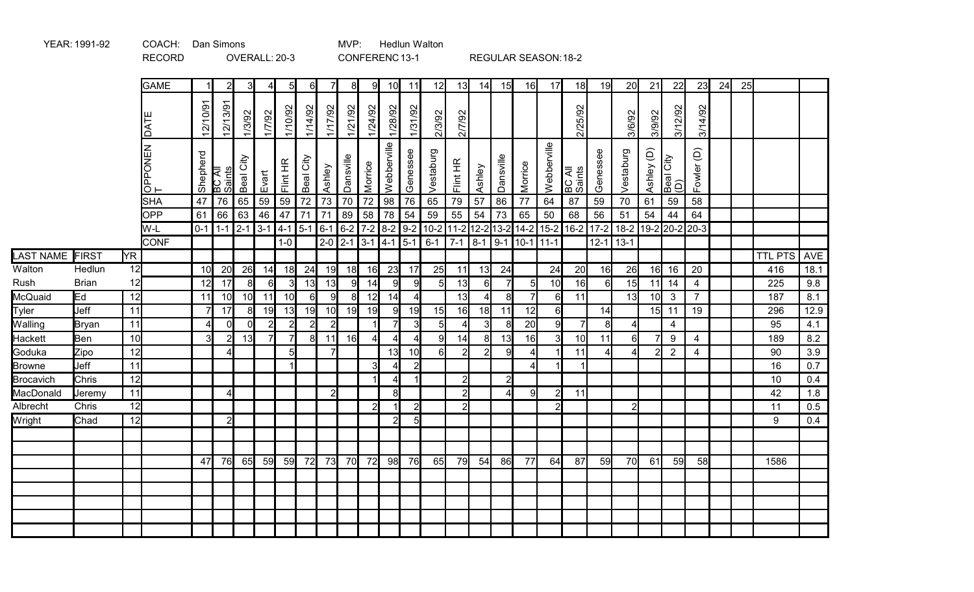|                |              |     | <b>RECORD</b>     |                 |                     |                 | OVERALL: 20-3                           |                |                |                 |                |                | CONFERENC13-1   |                 |                |                |                |                |                   | REGULAR SEASON: 18-2    |                  |                  |                                                                   |                 |                         |                |    |    |                |      |
|----------------|--------------|-----|-------------------|-----------------|---------------------|-----------------|-----------------------------------------|----------------|----------------|-----------------|----------------|----------------|-----------------|-----------------|----------------|----------------|----------------|----------------|-------------------|-------------------------|------------------|------------------|-------------------------------------------------------------------|-----------------|-------------------------|----------------|----|----|----------------|------|
|                |              |     | <b>GAME</b>       | -1 I            | 2                   |                 | 4                                       | 51             | $6 \mid$       |                 | 81             | 91             | 10              | 11              | 12             | 13             | 14             | 15             | 16                | 17                      | 18               | 19               | 20                                                                | 21              | 22                      | 23             | 24 | 25 |                |      |
|                |              |     | LVO               | 12/10/91        | 12/13/91            | 1/3/92          | 1/7/92                                  | 1/10/92        | 1/14/92        | 1/17/92         | 1/21/92        | 1/24/92        | 1/28/92         | 1/31/92         | 2/3/92         | 2/7/92         |                |                |                   |                         | 2/25/92          |                  | 3/6/92                                                            | 3/9/92          | 3/12/92                 | 3/14/92        |    |    |                |      |
|                |              |     | OPPONEN<br>T      | Shepherd        | BC All<br>Saints    | Beal City       | Evart                                   | Flint HR       | Beal City      | Ashley          | Dansville      | Morrice        | Webberville     | Genessee        | Vestaburg      | Flint HR       | Ashley         | Dansville      | Morrice           | Webberville             | BC All<br>Saints | Genessee         | Vestaburg                                                         | Ashley (D)      | Beal City<br>(D)        | Fowler (D)     |    |    |                |      |
|                |              |     | <b>SHA</b>        | 47              | $\overline{76}$     | 65              | $\overline{59}$                         | 59             | 72             | 73              | 70             | 72             | $\overline{98}$ | $\overline{76}$ | 65             | 79             | 57             | 86             | 77                | 64                      | 87               | 59               | 70                                                                | 61              | 59                      | 58             |    |    |                |      |
|                |              |     | <b>OPP</b><br>W-L | 61              | 66<br>$0-1$ 1-1 2-1 | 63              | 46<br>$3-1$ 4-1 5-1 6-1 6-2 7-2 8-2 9-2 | 47             | 71             | 71              | 89             | 58             | 78              | 54              | 59             | 55             | 54             | 73             | 65                | 50                      | 68               | 56               | 51<br>10-2 11-2 12-2 13-2 14-2 15-2 16-2 17-2 18-2 19-2 20-2 20-3 | 54              | 44                      | 64             |    |    |                |      |
|                |              |     | <b>CONF</b>       |                 |                     |                 |                                         | $1-0$          |                | $2 - 0$ 2-1 3-1 |                |                | $ 4 - 1 $ 5-1   |                 | $6 - 1$        | $7-1$          |                |                | 8-1 9-1 10-1 11-1 |                         |                  | $12 - 1$         | $13-1$                                                            |                 |                         |                |    |    |                |      |
| LAST NAME      | FIRST        | YR. |                   |                 |                     |                 |                                         |                |                |                 |                |                |                 |                 |                |                |                |                |                   |                         |                  |                  |                                                                   |                 |                         |                |    |    | <b>TTL PTS</b> | AVE  |
| Walton         | Hedlun       | 12  |                   | 10 <sup>1</sup> | 20                  | 26              | 14                                      | 18             | 24             | 19              | 18             | 16             | 23              | 17              | 25             | 11             | 13             | 24             |                   | 24                      | 20               | 16               | 26                                                                | 16              | 16                      | 20             |    |    | 416            | 18.1 |
| Rush           | <b>Brian</b> | 12  |                   | 12              | 17                  |                 | 6                                       | $\overline{3}$ | 13             | 13              | 9l             | 14             | 9               | 9               | 5 <sub>l</sub> | 13             | 6              | $\overline{7}$ | 5                 | 10                      | 16               | 6                | 15                                                                | 11              | 14                      | $\overline{4}$ |    |    | 225            | 9.8  |
| McQuaid        | Ed           | 12  |                   | 11              | 10 <sub>l</sub>     | 10 <sup>1</sup> | 11                                      | 10             | 6              | 9               | 8 <sup>1</sup> | 12             | 14              | $\overline{4}$  |                | 13             | $\overline{4}$ | 8              | $\overline{7}$    | 6                       | 11               |                  | 13                                                                | 10 <sub>l</sub> | $\mathbf{3}$            | $\overline{7}$ |    |    | 187            | 8.1  |
| Tyler          | Jeff         | 11  |                   | 7               | 17                  | 8               | 19                                      | 13             | 19             | 10              | 19             | 19             | 9               | 19              | 15             | 16             | 18             | 11             | 12                | 6                       |                  | 14               |                                                                   |                 | $15$ 11                 | 19             |    |    | 296            | 12.9 |
| Walling        | Bryan        | 11  |                   | Δ.              | $\Omega$            | $\Omega$        | $\overline{2}$                          | $\overline{2}$ | $\overline{2}$ | $\overline{2}$  |                |                | $\overline{7}$  | 3               | 5 <sup>1</sup> | $\vert$        | 3              | 8              | 20                | 9                       | $\overline{7}$   | $\boldsymbol{8}$ | $\overline{4}$                                                    |                 | $\overline{\mathbf{4}}$ |                |    |    | 95             | 4.1  |
| <b>Hackett</b> | Ben          | 10  |                   | $\overline{3}$  |                     | 13              | 7                                       | $\overline{7}$ | 8              | 11              | 16             | $\overline{4}$ | $\overline{A}$  | $\overline{4}$  | 9              | 14             | 8              | 13             | 16                | $\overline{\mathbf{3}}$ | 10               | 11               | 6                                                                 | $\overline{7}$  | $\boldsymbol{9}$        | 4              |    |    | 189            | 8.2  |
| Goduka         | Zipo         | 12  |                   |                 |                     |                 |                                         | 5              |                | $\overline{7}$  |                |                | 13              | 10              | 6              | $\overline{2}$ | $\overline{2}$ | 9              | 4                 |                         | 11               |                  | $\overline{4}$                                                    | $\overline{2}$  | $\overline{2}$          | 4              |    |    | 90             | 3.9  |
| Browne         | Jeff         | 11  |                   |                 |                     |                 |                                         | $\mathbf{1}$   |                |                 |                | $\overline{3}$ |                 | $2\vert$        |                |                |                |                | Δ                 |                         | $\vert$          |                  |                                                                   |                 |                         |                |    |    | 16             | 0.7  |
| Brocavich      | Chris        | 12  |                   |                 |                     |                 |                                         |                |                |                 |                |                | 4               | $\mathbf{1}$    |                | $\overline{2}$ |                | $\overline{2}$ |                   |                         |                  |                  |                                                                   |                 |                         |                |    |    | $10$           | 0.4  |
| MacDonald      | Jeremy       | 11  |                   |                 |                     |                 |                                         |                |                | $\overline{2}$  |                |                | $\mathbf{8}$    |                 |                | $\overline{2}$ |                | $\Delta$       | 9                 | $\overline{2}$          | 11               |                  |                                                                   |                 |                         |                |    |    | 42             | 1.8  |
| Albrecht       | Chris        | 12  |                   |                 |                     |                 |                                         |                |                |                 |                | $\overline{2}$ |                 | $\overline{2}$  |                | $\overline{2}$ |                |                |                   | $\overline{2}$          |                  |                  | $\mathbf{2}$                                                      |                 |                         |                |    |    | 11             | 0.5  |
| Wright         | Chad         | 12  |                   |                 | $\mathbf{2}$        |                 |                                         |                |                |                 |                |                | $\overline{2}$  | 5               |                |                |                |                |                   |                         |                  |                  |                                                                   |                 |                         |                |    |    | 9              | 0.4  |
|                |              |     |                   |                 |                     |                 |                                         |                |                |                 |                |                |                 |                 |                |                |                |                |                   |                         |                  |                  |                                                                   |                 |                         |                |    |    |                |      |
|                |              |     |                   |                 |                     |                 |                                         |                |                |                 |                |                |                 |                 |                |                |                |                |                   |                         |                  |                  |                                                                   |                 |                         |                |    |    |                |      |
|                |              |     |                   | 47              | 76                  | 65              | 59                                      | 59             | 72             | 73              | 70 <b> </b>    | 72             | 98              | 76              | 65             | 79             | 54             | 86             | 77                | 64                      | 87               | 59               | 70                                                                | 61              | 59                      | 58             |    |    | 1586           |      |
|                |              |     |                   |                 |                     |                 |                                         |                |                |                 |                |                |                 |                 |                |                |                |                |                   |                         |                  |                  |                                                                   |                 |                         |                |    |    |                |      |
|                |              |     |                   |                 |                     |                 |                                         |                |                |                 |                |                |                 |                 |                |                |                |                |                   |                         |                  |                  |                                                                   |                 |                         |                |    |    |                |      |
|                |              |     |                   |                 |                     |                 |                                         |                |                |                 |                |                |                 |                 |                |                |                |                |                   |                         |                  |                  |                                                                   |                 |                         |                |    |    |                |      |
|                |              |     |                   |                 |                     |                 |                                         |                |                |                 |                |                |                 |                 |                |                |                |                |                   |                         |                  |                  |                                                                   |                 |                         |                |    |    |                |      |
|                |              |     |                   |                 |                     |                 |                                         |                |                |                 |                |                |                 |                 |                |                |                |                |                   |                         |                  |                  |                                                                   |                 |                         |                |    |    |                |      |

MVP: Hedlun Walton

YEAR: 1991-92 COACH: Dan Simons